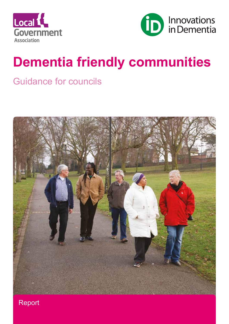



# **Dementia friendly communities**

# Guidance for councils



Report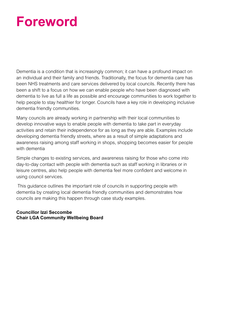# **Foreword**

Dementia is a condition that is increasingly common; it can have a profound impact on an individual and their family and friends. Traditionally, the focus for dementia care has been NHS treatments and care services delivered by local councils. Recently there has been a shift to a focus on how we can enable people who have been diagnosed with dementia to live as full a life as possible and encourage communities to work together to help people to stay healthier for longer. Councils have a key role in developing inclusive dementia friendly communities.

Many councils are already working in partnership with their local communities to develop innovative ways to enable people with dementia to take part in everyday activities and retain their independence for as long as they are able. Examples include developing dementia friendly streets, where as a result of simple adaptations and awareness raising among staff working in shops, shopping becomes easier for people with dementia

Simple changes to existing services, and awareness raising for those who come into day-to-day contact with people with dementia such as staff working in libraries or in leisure centres, also help people with dementia feel more confident and welcome in using council services.

 This guidance outlines the important role of councils in supporting people with dementia by creating local dementia friendly communities and demonstrates how councils are making this happen through case study examples.

## **Councillor Izzi Seccombe Chair LGA Community Wellbeing Board**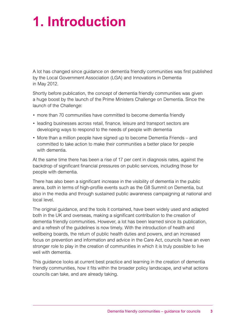# **1. Introduction**

A lot has changed since guidance on dementia friendly communities was first published by the Local Government Association (LGA) and Innovations in Dementia in May 2012.

Shortly before publication, the concept of dementia friendly communities was given a huge boost by the launch of the Prime Ministers Challenge on Dementia. Since the launch of the Challenge:

- more than 70 communities have committed to become dementia friendly
- leading businesses across retail, finance, leisure and transport sectors are developing ways to respond to the needs of people with dementia
- More than a million people have signed up to become Dementia Friends and committed to take action to make their communities a better place for people with dementia.

At the same time there has been a rise of 17 per cent in diagnosis rates, against the backdrop of significant financial pressures on public services, including those for people with dementia.

There has also been a significant increase in the visibility of dementia in the public arena, both in terms of high-profile events such as the G8 Summit on Dementia, but also in the media and through sustained public awareness campaigning at national and local level.

The original guidance, and the tools it contained, have been widely used and adapted both in the UK and overseas, making a significant contribution to the creation of dementia friendly communities. However, a lot has been learned since its publication, and a refresh of the guidelines is now timely. With the introduction of health and wellbeing boards, the return of public health duties and powers, and an increased focus on prevention and information and advice in the Care Act, councils have an even stronger role to play in the creation of communities in which it is truly possible to live well with dementia.

This guidance looks at current best practice and learning in the creation of dementia friendly communities, how it fits within the broader policy landscape, and what actions councils can take, and are already taking.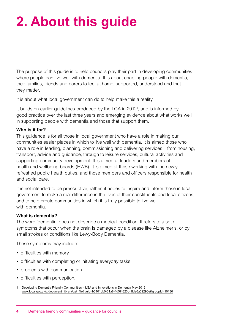# **2. About this guide**

The purpose of this guide is to help councils play their part in developing communities where people can live well with dementia. It is about enabling people with dementia, their families, friends and carers to feel at home, supported, understood and that they matter.

It is about what local government can do to help make this a reality.

It builds on earlier guidelines produced by the LGA in 2012<sup>1</sup>, and is informed by good practice over the last three years and emerging evidence about what works well in supporting people with dementia and those that support them.

## **Who is it for?**

This guidance is for all those in local government who have a role in making our communities easier places in which to live well with dementia. It is aimed those who have a role in leading, planning, commissioning and delivering services – from housing, transport, advice and guidance, through to leisure services, cultural activities and supporting community development. It is aimed at leaders and members of health and wellbeing boards (HWB). It is aimed at those working with the newly refreshed public health duties, and those members and officers responsible for health and social care.

It is not intended to be prescriptive, rather, it hopes to inspire and inform those in local government to make a real difference in the lives of their constituents and local citizens, and to help create communities in which it is truly possible to live well with dementia.

## **What is dementia?**

The word 'dementia' does not describe a medical condition. It refers to a set of symptoms that occur when the brain is damaged by a disease like Alzheimer's, or by small strokes or conditions like Lewy-Body Dementia.

These symptoms may include:

- difficulties with memory
- difficulties with completing or initiating everyday tasks
- problems with communication
- difficulties with perception.

<sup>1</sup> Developing Dementia Friendly Communities – LGA and Innovations in Dementia May 2012. [www.local.gov.uk/c/document\\_library/get\\_file?uuid=b6401bb0-31a8-4d57-823b-1fde6a09290e&groupId=10180](http://)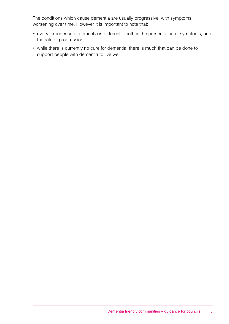The conditions which cause dementia are usually progressive, with symptoms worsening over time. However it is important to note that:

- every experience of dementia is different both in the presentation of symptoms, and the rate of progression
- while there is currently no cure for dementia, there is much that can be done to support people with dementia to live well.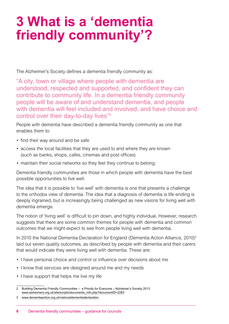# **3 What is a 'dementia friendly community'?**

The Alzheimer's Society defines a dementia friendly community as:

"A city, town or village where people with dementia are understood, respected and supported, and confident they can contribute to community life. In a dementia friendly community people will be aware of and understand dementia, and people with dementia will feel included and involved, and have choice and control over their day-to-day lives"<sup>2</sup>

People with dementia have described a dementia friendly community as one that enables them to:

- find their way around and be safe
- access the local facilities that they are used to and where they are known (such as banks, shops, cafes, cinemas and post offices)
- maintain their social networks so they feel they continue to belong.

Dementia friendly communities are those in which people with dementia have the best possible opportunities to live well.

The idea that it is possible to 'live well' with dementia is one that presents a challenge to the orthodox view of dementia. The idea that a diagnosis of dementia is life-ending is deeply ingrained, but is increasingly being challenged as new visions for living well with dementia emerge.

The notion of 'living well' is difficult to pin down, and highly individual. However, research suggests that there are some common themes for people with dementia and common outcomes that we might expect to see from people living well with dementia.

In 2010 the National Dementia Declaration for England (Dementia Action Alliance, 2010)<sup>3</sup> laid out seven quality outcomes, as described by people with dementia and their carers that would indicate they were living well with dementia. These are:

- I have personal choice and control or influence over decisions about me
- I know that services are designed around me and my needs
- I have support that helps me live my life

<sup>2</sup> Building Dementia Friendly Communities – a Priority for Everyone – Alzheimer's Society 2013 [www.alzheimers.org.uk/site/scripts/documents\\_info.php?documentID=2283](http://www.alzheimers.org.uk/site/scripts/documents_info.php?documentID=2283)

<sup>3</sup> [www.dementiaaction.org.uk/nationaldementiadeclaration](http://www.dementiaaction.org.uk/nationaldementiadeclaration)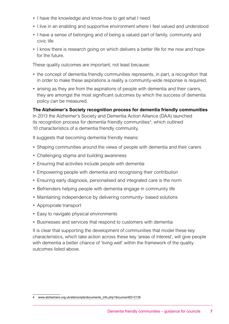- I have the knowledge and know-how to get what I need
- I live in an enabling and supportive environment where I feel valued and understood
- I have a sense of belonging and of being a valued part of family, community and civic life
- I know there is research going on which delivers a better life for me now and hope for the future.

These quality outcomes are important, not least because:

- the concept of dementia friendly communities represents, in part, a recognition that in order to make these aspirations a reality a community-wide response is required.
- arising as they are from the aspirations of people with dementia and their carers, they are amongst the most significant outcomes by which the success of dementia policy can be measured.

## **The Alzheimer's Society recognition process for dementia friendly communities**

In 2013 the Alzheimer's Society and Dementia Action Alliance (DAA) launched its recognition process for dementia friendly communities<sup>4</sup>, which outlined 10 characteristics of a dementia friendly community.

It suggests that becoming dementia friendly means:

- Shaping communities around the views of people with dementia and their carers
- Challenging stigma and building awareness
- Ensuring that activities include people with dementia
- Empowering people with dementia and recognising their contribution
- Ensuring early diagnosis, personalised and integrated care is the norm
- Befrienders helping people with dementia engage in community life
- Maintaining independence by delivering community- based solutions
- Appropriate transport
- Easy to navigate physical environments
- Businesses and services that respond to customers with dementia

It is clear that supporting the development of communities that model these key characteristics, which take action across these key 'areas of interest', will give people with dementia a better chance of 'living well' within the framework of the quality outcomes listed above.

<sup>4</sup> [www.alzheimers.org.uk/site/scripts/documents\\_info.php?documentID=2136](http://www.alzheimers.org.uk/site/scripts/documents_info.php?documentID=2136)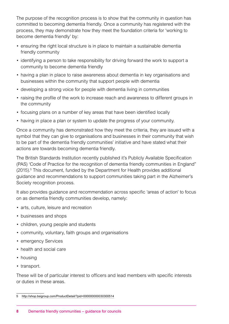The purpose of the recognition process is to show that the community in question has committed to becoming dementia friendly. Once a community has registered with the process, they may demonstrate how they meet the foundation criteria for 'working to become dementia friendly' by:

- ensuring the right local structure is in place to maintain a sustainable dementia friendly community
- identifying a person to take responsibility for driving forward the work to support a community to become dementia friendly
- having a plan in place to raise awareness about dementia in key organisations and businesses within the community that support people with dementia
- developing a strong voice for people with dementia living in communities
- raising the profile of the work to increase reach and awareness to different groups in the community
- focusing plans on a number of key areas that have been identified locally
- having in place a plan or system to update the progress of your community.

Once a community has demonstrated how they meet the criteria, they are issued with a symbol that they can give to organisations and businesses in their community that wish to be part of the dementia friendly communities' initiative and have stated what their actions are towards becoming dementia friendly.

The British Standards Institution recently published it's Publicly Available Specification (PAS) 'Code of Practice for the recognition of dementia friendly communities in England" (2015).<sup>5</sup> This document, funded by the Department for Health provides additional guidance and recommendations to support communities taking part in the Alzheimer's Society recognition process.

It also provides guidance and recommendation across specific 'areas of action' to focus on as dementia friendly communities develop, namely:

- arts, culture, leisure and recreation
- businesses and shops
- children, young people and students
- community, voluntary, faith groups and organisations
- emergency Services
- health and social care
- housing
- transport.

These will be of particular interest to officers and lead members with specific interests or duties in these areas.

<sup>5</sup> <http://shop.bsigroup.com/ProductDetail/?pid=000000000030300514>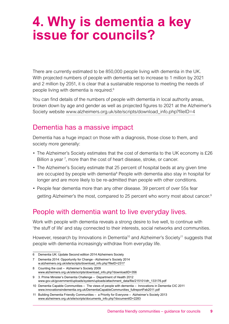# **4. Why is dementia a key issue for councils?**

There are currently estimated to be 850,000 people living with dementia in the UK. With projected numbers of people with dementia set to increase to 1 million by 2021 and 2 million by 2051, it is clear that a sustainable response to meeting the needs of people living with dementia is required.6

You can find details of the numbers of people with dementia in local authority areas, broken down by age and gender as well as projected figures to 2021 at the Alzheimer's Society website www.alzheimers.org.uk/site/scripts/download info.php?fileID=4

## Dementia has a massive impact

Dementia has a huge impact on those with a diagnosis, those close to them, and society more generally:

- The Alzheimer's Society estimates that the cost of dementia to the UK economy is £26 Billion a year  $<sup>7</sup>$ , more than the cost of heart disease, stroke, or cancer.</sup>
- The Alzheimer's Society estimate that 25 percent of hospital beds at any given time are occupied by people with dementia<sup>8</sup> People with dementia also stay in hospital for longer and are more likely to be re-admitted than people with other conditions.
- People fear dementia more than any other disease. 39 percent of over 55s fear getting Alzheimer's the most, compared to 25 percent who worry most about cancer.9

## People with dementia want to live everyday lives.

Work with people with dementia reveals a strong desire to live well, to continue with 'the stuff of life' and stay connected to their interests, social networks and communities.

However, research by Innovations in Dementia<sup>10</sup> and Alzheimer's Society<sup>11</sup> suggests that people with dementia increasingly withdraw from everyday life.

<sup>6</sup> Dementia UK: Update Second edition 2014 Alzheimers Society

<sup>7</sup> Dementia 2014: Opportunity for Change - Alzheimer's Society 2014 [w.alzheimers.org.uk/site/scripts/download\\_info.php?fileID=2317](http://w.alzheimers.org.uk/site/scripts/download_info.php?fileID=2317)

<sup>8</sup> Counting the cost – Alzheimer's Society 2009 [www.alzheimers.org.uk/site/scripts/download\\_info.php?downloadID=356](http://www.alzheimers.org.uk/site/scripts/download_info.php?downloadID=356)

<sup>9</sup> 3. Prime Minister's Dementia Challenge – Department of Health 2012 [www.gov.uk/government/uploads/system/uploads/attachment\\_data/file/215101/dh\\_133176.pdf](http://www.gov.uk/government/uploads/system/uploads/attachment_data/file/215101/dh_133176.pdf)

<sup>10</sup> Dementia Capable Communities – The views of people with dementia – Innovations in Dementia CIC 2011 [www.innovationsindementia.org.uk/DementiaCapableCommunities\\_fullreportFeb2011.pdf](http://www.innovationsindementia.org.uk/DementiaCapableCommunities_fullreportFeb2011.pdf)

<sup>11</sup> Building Dementia Friendly Communities – a Priority for Everyone – Alzheimer's Society 2013 [www.alzheimers.org.uk/site/scripts/documents\\_info.php?documentID=2283](http://www.alzheimers.org.uk/site/scripts/documents_info.php?documentID=2283)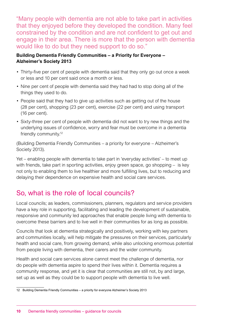"Many people with dementia are not able to take part in activities that they enjoyed before they developed the condition. Many feel constrained by the condition and are not confident to get out and engage in their area. There is more that the person with dementia would like to do but they need support to do so."

## **Building Dementia Friendly Communities – a Priority for Everyone – Alzheimer's Society 2013**

- Thirty-five per cent of people with dementia said that they only go out once a week or less and 10 per cent said once a month or less.
- Nine per cent of people with dementia said they had had to stop doing all of the things they used to do.
- People said that they had to give up activities such as getting out of the house (28 per cent), shopping (23 per cent), exercise (22 per cent) and using transport (16 per cent).
- Sixty-three per cent of people with dementia did not want to try new things and the underlying issues of confidence, worry and fear must be overcome in a dementia friendly community.12

(Building Dementia Friendly Communities – a priority for everyone – Alzheimer's Society 2013).

Yet – enabling people with dementia to take part in 'everyday activities' – to meet up with friends, take part in sporting activities, enjoy green space, go shopping – is key not only to enabling them to live healthier and more fulfilling lives, but to reducing and delaying their dependence on expensive health and social care services.

## So, what is the role of local councils?

Local councils; as leaders, commissioners, planners, regulators and service providers have a key role in supporting, facilitating and leading the development of sustainable, responsive and community led approaches that enable people living with dementia to overcome these barriers and to live well in their communities for as long as possible.

Councils that look at dementia strategically and positively, working with key partners and communities locally, will help mitigate the pressures on their services, particularly health and social care, from growing demand, while also unlocking enormous potential from people living with dementia, their carers and the wider community.

Health and social care services alone cannot meet the challenge of dementia, nor do people with dementia aspire to spend their lives within it. Dementia requires a community response, and yet it is clear that communities are still not, by and large, set up as well as they could be to support people with dementia to live well.

<sup>12</sup> Building Dementia Friendly Communities – a priority for everyone Alzheimer's Society 2013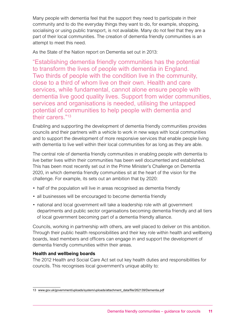Many people with dementia feel that the support they need to participate in their community and to do the everyday things they want to do, for example, shopping, socialising or using public transport, is not available. Many do not feel that they are a part of their local communities. The creation of dementia friendly communities is an attempt to meet this need.

As the State of the Nation report on Dementia set out in 2013:

"Establishing dementia friendly communities has the potential to transform the lives of people with dementia in England. Two thirds of people with the condition live in the community, close to a third of whom live on their own. Health and care services, while fundamental, cannot alone ensure people with dementia live good quality lives. Support from wider communities, services and organisations is needed, utilising the untapped potential of communities to help people with dementia and their carers."<sup>13</sup>

Enabling and supporting the development of dementia friendly communities provides councils and their partners with a vehicle to work in new ways with local communities and to support the development of more responsive services that enable people living with dementia to live well within their local communities for as long as they are able.

The central role of dementia friendly communities in enabling people with dementia to live better lives within their communities has been well documented and established. This has been most recently set out in the Prime Minister's Challenge on Dementia 2020, in which dementia friendly communities sit at the heart of the vision for the challenge. For example, its sets out an ambition that by 2020:

- half of the population will live in areas recognised as dementia friendly
- all businesses will be encouraged to become dementia friendly
- national and local government will take a leadership role with all government departments and public sector organisations becoming dementia friendly and all tiers of local government becoming part of a dementia friendly alliance.

Councils, working in partnership with others, are well placed to deliver on this ambition. Through their public health responsibilities and their key role within health and wellbeing boards, lead members and officers can engage in and support the development of dementia friendly communities within their areas.

## **Health and wellbeing boards**

The 2012 Health and Social Care Act set out key health duties and responsibilities for councils. This recognises local government's unique ability to:

<sup>13</sup> [www.gov.uk/government/uploads/system/uploads/attachment\\_data/file/262139/Dementia.pdf](http://www.gov.uk/government/uploads/system/uploads/attachment_data/file/262139/Dementia.pdf)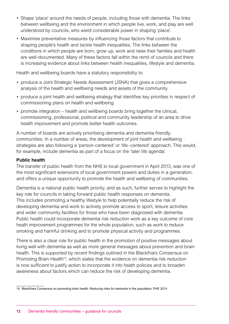- Shape 'place' around the needs of people, including those with dementia. The links between wellbeing and the environment in which people live, work, and play are well understood by councils, who wield considerable power in shaping 'place'.
- Maximise preventative measures by influencing those factors that contribute to shaping people's health and tackle health inequalities. The links between the conditions in which people are born, grow up, work and raise their families and health are well-documented. Many of these factors fall within the remit of councils and there is increasing evidence about links between health inequalities, lifestyle and dementia.

Health and wellbeing boards have a statutory responsibility to:

- produce a Joint Strategic Needs Assessment (JSNA) that gives a comprehensive analysis of the health and wellbeing needs and assets of the community
- produce a joint health and wellbeing strategy that identifies key priorities in respect of commissioning plans on health and wellbeing
- promote integration health and wellbeing boards bring together the clinical, commissioning, professional, political and community leadership of an area to drive health improvement and promote better health outcomes.

A number of boards are actively prioritising dementia and dementia friendly communities. In a number of areas, the development of joint health and wellbeing strategies are also following a 'person-centered' or 'life–centered' approach. This would, for example, include dementia as part of a focus on the 'later life agenda'.

## **Public health**

The transfer of public health from the NHS to local government in April 2013, was one of the most significant extensions of local government powers and duties in a generation, and offers a unique opportunity to promote the health and wellbeing of communities.

Dementia is a national public health priority, and as such, further serves to highlight the key role for councils in taking forward public health responses on dementia. This includes promoting a healthy lifestyle to help potentially reduce the risk of developing dementia and work to actively promote access to sport, leisure activities and wider community facilities for those who have been diagnosed with dementia. Public health could incorporate dementia risk reduction work as a key outcome of core heath improvement programmes for the whole population, such as work to reduce smoking and harmful drinking and to promote physical activity and programmes.

There is also a clear role for public health in the promotion of positive messages about living well with dementia as well as more general messages about prevention and brain health. This is supported by recent findings outlined in the Blackfriars Consensus on Promoting Brain Health<sup>14</sup>, which states that the evidence on dementia risk reduction is now sufficient to justify action to incorporate it into heath policies and to broaden awareness about factors which can reduce the risk of developing dementia.

<sup>14</sup> Blackfriars Consensus on promoting brain health: Reducing risks for dementia in the population; PHE 2014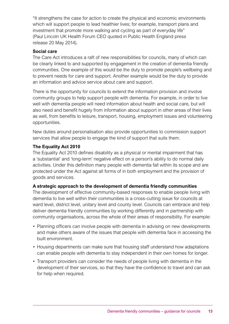"It strengthens the case for action to create the physical and economic environments which will support people to lead healthier lives; for example, transport plans and investment that promote more walking and cycling as part of everyday life" (Paul Lincoln UK Health Forum CEO quoted in Public Health England press release 20 May 2014).

## **Social care**

The Care Act introduces a raft of new responsibilities for councils, many of which can be clearly linked to and supported by engagement in the creation of dementia friendly communities. One example of this would be the duty to promote people's wellbeing and to prevent needs for care and support. Another example would be the duty to provide an information and advice service about care and support.

There is the opportunity for councils to extend the information provision and involve community groups to help support people with dementia. For example, in order to live well with dementia people will need information about health and social care, but will also need and benefit hugely from information about support in other areas of their lives as well, from benefits to leisure, transport, housing, employment issues and volunteering opportunities.

New duties around personalisation also provide opportunities to commission support services that allow people to engage the kind of support that suits them.

## **The Equality Act 2010**

The Equality Act 2010 defines disability as a physical or mental impairment that has a 'substantial' and 'long-term' negative effect on a person's ability to do normal daily activities. Under this definition many people with dementia fall within its scope and are protected under the Act against all forms of in both employment and the provision of goods and services.

## **A strategic approach to the development of dementia friendly communities**

The development of effective community-based responses to enable people living with dementia to live well within their communities is a cross-cutting issue for councils at ward level, district level, unitary level and county level. Councils can embrace and help deliver dementia friendly communities by working differently and in partnership with community organisations, across the whole of their areas of responsibility. For example:

- Planning officers can involve people with dementia in advising on new developments and make others aware of the issues that people with dementia face in accessing the built environment.
- Housing departments can make sure that housing staff understand how adaptations can enable people with dementia to stay independent in their own homes for longer.
- Transport providers can consider the needs of people living with dementia in the development of their services, so that they have the confidence to travel and can ask for help when required.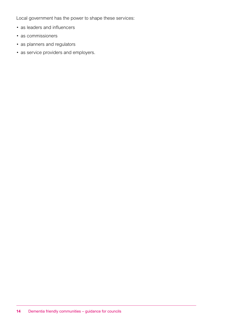Local government has the power to shape these services:

- as leaders and influencers
- as commissioners
- as planners and regulators
- as service providers and employers.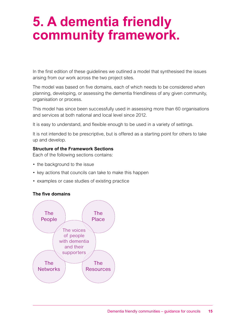# **5. A dementia friendly community framework.**

In the first edition of these guidelines we outlined a model that synthesised the issues arising from our work across the two project sites.

The model was based on five domains, each of which needs to be considered when planning, developing, or assessing the dementia friendliness of any given community, organisation or process.

This model has since been successfully used in assessing more than 60 organisations and services at both national and local level since 2012.

It is easy to understand, and flexible enough to be used in a variety of settings.

It is not intended to be prescriptive, but is offered as a starting point for others to take up and develop.

## **Structure of the Framework Sections**

Each of the following sections contains:

- the background to the issue
- key actions that councils can take to make this happen
- examples or case studies of existing practice

## **The five domains**

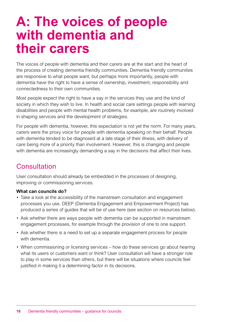# **A: The voices of people with dementia and their carers**

The voices of people with dementia and their carers are at the start and the heart of the process of creating dementia friendly communities. Dementia friendly communities are responsive to what people want, but perhaps more importantly, people with dementia have the right to have a sense of ownership, investment, responsibility and connectedness to their own communities.

Most people expect the right to have a say in the services they use and the kind of society in which they wish to live. In health and social care settings people with learning disabilities and people with mental health problems, for example, are routinely involved in shaping services and the development of strategies.

For people with dementia, however, this expectation is not yet the norm. For many years, carers were the proxy voice for people with dementia speaking on their behalf. People with dementia tended to be diagnosed at a late stage of their illness, with delivery of care being more of a priority than involvement. However, this is changing and people with dementia are increasingly demanding a say in the decisions that affect their lives.

## **Consultation**

User consultation should already be embedded in the processes of designing, improving or commissioning services.

## **What can councils do?**

- Take a look at the accessibility of the mainstream consultation and engagement processes you use. DEEP (Dementia Engagement and Empowerment Project) has produced a series of guides that will be of use here (see section on resources below).
- Ask whether there are ways people with dementia can be supported in mainstream engagement processes, for example through the provision of one to one support.
- Ask whether there is a need to set up a separate engagement process for people with dementia.
- When commissioning or licensing services how do these services go about hearing what its users or customers want or think? User consultation will have a stronger role to play in some services than others, but there will be situations where councils feel justified in making it a determining factor in its decisions.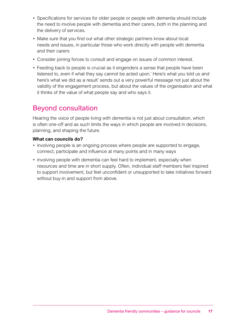- Specifications for services for older people or people with dementia should include the need to involve people with dementia and their carers, both in the planning and the delivery of services.
- Make sure that you find out what other strategic partners know about local needs and issues, in particular those who work directly with people with dementia and their carers
- Consider joining forces to consult and engage on issues of common interest.
- Feeding back to people is crucial as it engenders a sense that people have been listened to, even if what they say cannot be acted upon.' Here's what you told us and here's what we did as a result' sends out a very powerful message not just about the validity of the engagement process, but about the values of the organisation and what it thinks of the value of what people say and who says it.

## Beyond consultation

Hearing the voice of people living with dementia is not just about consultation, which is often one-off and as such limits the ways in which people are involved in decisions, planning, and shaping the future.

## **What can councils do?**

- involving people is an ongoing process where people are supported to engage. connect, participate and influence at many points and in many ways
- involving people with dementia can feel hard to implement, especially when resources and time are in short supply. Often, individual staff members feel inspired to support involvement, but feel unconfident or unsupported to take initiatives forward without buy-in and support from above.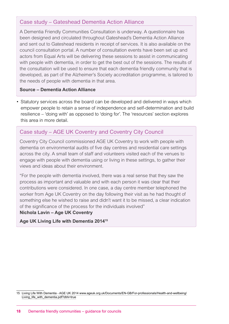## Case study – Gateshead Dementia Action Alliance

A Dementia Friendly Communities Consultation is underway. A questionnaire has been designed and circulated throughout Gateshead's Dementia Action Alliance and sent out to Gateshead residents in receipt of services. It is also available on the council consultation portal. A number of consultation events have been set up and actors from Equal Arts will be delivering these sessions to assist in communicating with people with dementia, in order to get the best out of the sessions. The results of the consultation will be used to ensure that each dementia friendly community that is developed, as part of the Alzheimer's Society accreditation programme, is tailored to the needs of people with dementia in that area.

#### **Source – Dementia Action Alliance**

• Statutory services across the board can be developed and delivered in ways which empower people to retain a sense of independence and self-determination and build resilience – 'doing with' as opposed to 'doing for'. The 'resources' section explores this area in more detail

## Case study – AGE UK Coventry and Coventry City Council

Coventry City Council commissioned AGE UK Coventry to work with people with dementia on environmental audits of five day centres and residential care settings across the city. A small team of staff and volunteers visited each of the venues to engage with people with dementia using or living in these settings, to gather their views and ideas about their environment.

"For the people with dementia involved, there was a real sense that they saw the process as important and valuable and with each person it was clear that their contributions were considered. In one case, a day centre member telephoned the worker from Age UK Coventry on the day following their visit as he had thought of something else he wished to raise and didn't want it to be missed, a clear indication of the significance of the process for the individuals involved"

## **Nichola Lavin – Age UK Coventry**

**Age UK Living Life with Dementia 201415**

<sup>15</sup> Living Life With Dementia - AGE UK 2014 www.ageuk.org.uk/Documents/EN-GB/For-professionals/Health-and-wellbeing/ Living\_life\_with\_dementia.pdf?dtrk=true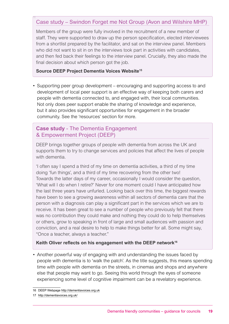## Case study – Swindon Forget me Not Group (Avon and Wilshire MHP)

Members of the group were fully involved in the recruitment of a new member of staff. They were supported to draw up the person specification, elected interviewees from a shortlist prepared by the facilitator, and sat on the interview panel. Members who did not want to sit in on the interviews took part in activities with candidates, and then fed back their feelings to the interview panel. Crucially, they also made the final decision about which person got the job.

## **Source DEEP Project Dementia Voices Website15**

16

• Supporting peer group development – encouraging and supporting access to and development of local peer support is an effective way of keeping both carers and people with dementia connected to, and engaged with, their local communities. Not only does peer support enable the sharing of knowledge and experience, but it also provides significant opportunities for engagement in the broader community. See the 'resources' section for more.

## **Case study** - The Dementia Engagement & Empowerment Project (DEEP)

DEEP brings together groups of people with dementia from across the UK and supports them to try to change services and policies that affect the lives of people with dementia.

'I often say I spend a third of my time on dementia activities, a third of my time doing 'fun things', and a third of my time recovering from the other two! Towards the latter days of my career, occasionally I would consider the question, 'What will I do when I retire?' Never for one moment could I have anticipated how the last three years have unfurled. Looking back over this time, the biggest rewards have been to see a growing awareness within all sectors of dementia care that the person with a diagnosis can play a significant part in the services which we are to receive. It has been great to see a number of people who previously felt that there was no contribution they could make and nothing they could do to help themselves or others, grow to speaking in front of large and small audiences with passion and conviction, and a real desire to help to make things better for all. Some might say, "Once a teacher, always a teacher."

## **Keith Oliver reflects on his engagement with the DEEP network<sup>16</sup>**

• Another powerful way of engaging with and understanding the issues faced by people with dementia is to 'walk the patch'. As the title suggests, this means spending time with people with dementia on the streets, in cinemas and shops and anywhere else that people may want to go. Seeing this world through the eyes of someone experiencing some level of cognitive impairment can be a revelatory experience.

<sup>16</sup> DEEP Webpage<http://dementiavoices.org.uk>

<sup>17</sup> <http://dementiavoices.org.uk/>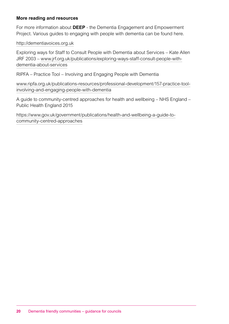## **More reading and resources**

For more information about **DEEP** - the Dementia Engagement and Empowerment Project. Various guides to engaging with people with dementia can be found here.

<http://dementiavoices.org.uk>

Exploring ways for Staff to Consult People with Dementia about Services – Kate Allen JRF 2003 – [www.jrf.org.uk/publications/exploring-ways-staff-consult-people-with](http://www.jrf.org.uk/publications/exploring-ways-staff-consult-people-with-dementia-about-services)[dementia-about-services](http://www.jrf.org.uk/publications/exploring-ways-staff-consult-people-with-dementia-about-services)

RIPFA – Practice Tool – Involving and Engaging People with Dementia

[www.ripfa.org.uk/publications-resources/professional-development/157-practice-tool](http://www.ripfa.org.uk/publications-resources/professional-development/157-practice-tool-involving-and-eng)[involving-and-engaging-people-with-dementia](http://www.ripfa.org.uk/publications-resources/professional-development/157-practice-tool-involving-and-eng)

A guide to community-centred approaches for health and wellbeing – NHS England – Public Health England 2015

[https://www.gov.uk/government/publications/health-and-wellbeing-a-guide-to](https://www.gov.uk/government/publications/health-and-wellbeing-a-guide-to-community-centred-approac)[community-centred-approaches](https://www.gov.uk/government/publications/health-and-wellbeing-a-guide-to-community-centred-approac)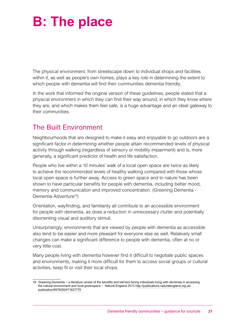# **B: The place**

The physical environment, from streetscape down to individual shops and facilities within it, as well as people's own homes, plays a key role in determining the extent to which people with dementia will find their communities dementia friendly.

In the work that informed the original version of these guidelines, people stated that a physical environment in which they can find their way around, in which they know where they are, and which makes them feel safe, is a huge advantage and an ideal gateway to their communities.

## The Built Environment

Neighbourhoods that are designed to make it easy and enjoyable to go outdoors are a significant factor in determining whether people attain recommended levels of physical activity through walking (regardless of sensory or mobility impairment) and is, more generally, a significant predictor of health and life satisfaction.

People who live within a 10 minutes' walk of a local open space are twice as likely to achieve the recommended levels of healthy walking compared with those whose local open space is further away. Access to green space and to nature has been shown to have particular benefits for people with dementia, including better mood, memory and communication and improved concentration. (Greening Dementia - Dementia Adventure<sup>18</sup>)

Orientation, wayfinding, and familiarity all contribute to an accessible environment for people with dementia, as does a reduction in unnecessary clutter and potentially disorienting visual and auditory stimuli.

Unsurprisingly, environments that are viewed by people with dementia as accessible also tend to be easier and more pleasant for everyone else as well. Relatively small changes can make a significant difference to people with dementia, often at no or very little cost.

Many people living with dementia however find it difficult to negotiate public spaces and environments, making it more difficult for them to access social groups or cultural activities, keep fit or visit their local shops.

<sup>18</sup> Greening Dementia – a literature review of the benefits and barriers facing individuals living with dementia in accessing the natural environment and local greenspace – Natural England 2013 [http://publications.naturalengland.org.uk/](http://publications.naturalengland.org.uk/publication/6578292471627776) [publication/6578292471627776](http://publications.naturalengland.org.uk/publication/6578292471627776)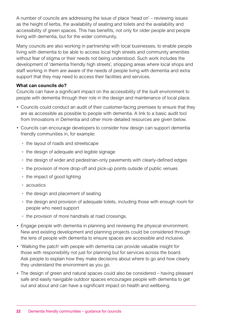A number of councils are addressing the issue of place 'head on' – reviewing issues as the height of kerbs, the availability of seating and toilets and the availability and accessibility of green spaces. This has benefits, not only for older people and people living with dementia, but for the wider community.

Many councils are also working in partnership with local businesses, to enable people living with dementia to be able to access local high streets and community amenities without fear of stigma or their needs not being understood. Such work includes the development of 'dementia friendly high streets', shopping areas where local shops and staff working in them are aware of the needs of people living with dementia and extra support that they may need to access their facilities and services.

## **What can councils do?**

Councils can have a significant impact on the accessibility of the built environment to people with dementia through their role in the design and maintenance of local place.

- Councils could conduct an audit of their customer-facing premises to ensure that they are as accessible as possible to people with dementia. A link to a basic audit tool from Innovations in Dementia and other more detailed resources are given below.
- Councils can encourage developers to consider how design can support dementia friendly communities in, for example:
	- the layout of roads and streetscape
	- the design of adequate and legible signage
	- the design of wider and pedestrian-only pavements with clearly-defined edges
	- the provision of more drop-off and pick-up points outside of public venues
	- the impact of good lighting
	- acoustics
	- the design and placement of seating
	- the design and provision of adequate toilets, including those with enough room for people who need support
	- the provision of more handrails at road crossings.
- Engage people with dementia in planning and reviewing the physical environment. New and existing development and planning projects could be considered through the lens of people with dementia to ensure spaces are accessible and inclusive.
- 'Walking the patch' with people with dementia can provide valuable insight for those with responsibility not just for planning but for services across the board. Ask people to explain how they make decisions about where to go and how clearly they understand the environment as you go.
- The design of green and natural spaces could also be considered having pleasant safe and easily navigable outdoor spaces encourages people with dementia to get out and about and can have a significant impact on health and wellbeing.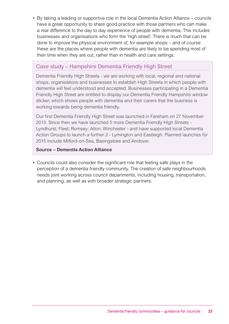• By taking a leading or supportive role in the local Dementia Action Alliance – councils have a great opportunity to share good practice with those partners who can make a real difference to the day to day experience of people with dementia. This includes businesses and organisations who form the 'high street'. There is much that can be done to improve the physical environment of, for example shops – and of course these are the places where people with dementia are likely to be spending most of their time when they are out, rather than in health and care settings.

## Case study – Hampshire Dementia Friendly High Street

Dementia Friendly High Streets - we are working with local, regional and national shops, organisations and businesses to establish High Streets in which people with dementia will feel understood and accepted. Businesses participating in a Dementia Friendly High Street are entitled to display our Dementia Friendly Hampshire window sticker, which shows people with dementia and their carers that the business is working towards being dementia friendly.

Our first Dementia Friendly High Street was launched in Fareham on 27 November 2013. Since then we have launched 5 more Dementia Friendly High Streets - Lyndhurst; Fleet; Romsey; Alton; Winchester - and have supported local Dementia Action Groups to launch a further 2 - Lymington and Eastleigh. Planned launches for 2015 include Milford-on-Sea, Basingstoke and Andover.

## **Source – Dementia Action Alliance**

• Councils could also consider the significant role that feeling safe plays in the perception of a dementia friendly community. The creation of safe neighbourhoods needs joint working across council departments, including housing, transportation, and planning, as well as with broader strategic partners.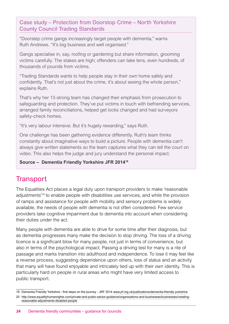Case study – Protection from Doorstop Crime – North Yorkshire County Council Trading Standards

"Doorstep crime gangs increasingly target people with dementia," warns Ruth Andrews. "It's big business and well organised."

Gangs specialise in, say, roofing or gardening but share information, grooming victims carefully. The stakes are high; offenders can take tens, even hundreds, of thousands of pounds from victims.

"Trading Standards wants to help people stay in their own home safely and confidently. That's not just about the crime, it's about seeing the whole person," explains Ruth.

That's why her 13-strong team has changed their emphasis from prosecution to safeguarding and protection. They've put victims in touch with befriending services, arranged family reconciliations, helped get locks changed and had surveyors safety-check homes.

"It's very labour intensive. But it's hugely rewarding," says Ruth.

One challenge has been gathering evidence differently. Ruth's team thinks constantly about imaginative ways to build a picture. People with dementia can't always give written statements so the team captures what they can tell the court on video. This also helps the judge and jury understand the personal impact.

**Source – Dementia Friendly Yorkshire JFR 201418**

## **Transport**

The Equalities Act places a legal duty upon transport providers to make 'reasonable adjustments'19 to enable people with disabilities use services, and while the provision of ramps and assistance for people with mobility and sensory problems is widely available, the needs of people with dementia is not often considered. Few service providers take cognitive impairment due to dementia into account when considering their duties under the act.

Many people with dementia are able to drive for some time after their diagnosis, but as dementia progresses many make the decision to stop driving. The loss of a driving licence is a significant blow for many people, not just in terms of convenience, but also in terms of the psychological impact. Passing a driving test for many is a rite of passage and marks transition into adulthood and independence. To lose it may feel like a reverse process, suggesting dependence upon others, loss of status and an activity that many will have found enjoyable and intricately tied up with their own identity. This is particularly hard on people in rural areas who might have very limited access to public transport.

<sup>19</sup> Dementia Friendly Yorkshire - first steps on the journey - JRF 2014 [www.jrf.org.uk/publications/dementia-friendly-yorkshire](http://www.jrf.org.uk/publications/dementia-friendly-yorkshire)

<sup>20</sup> [http://www.equalityhumanrights.com/private-and-public-sector-guidance/organisations-and-businesses/businesses/creating](http://www.equalityhumanrights.com/private-and-public-sector-guidance/organisations-and-businesses/b)[reasonable-adjustments-disabled-people](http://www.equalityhumanrights.com/private-and-public-sector-guidance/organisations-and-businesses/b)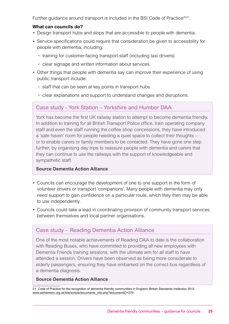Further quidance around transport is included in the BSI Code of Practice<sup>2021</sup>.

## **What can councils do?**

- Design transport hubs and stops that are accessible to people with dementia.
- Service specifications could require that consideration be given to accessibility for people with dementia, including:
	- training for customer-facing transport staff (including taxi drivers)
	- clear signage and written information about services.
- Other things that people with dementia say can improve their experience of using public transport include:
	- staff that can be seen at key points in transport hubs
	- clear explanations and support to understand changes and disruptions.

## Case study - York Station – Yorkshire and Humber DAA

York has become the first UK railway station to attempt to become dementia friendly. In addition to training for all British Transport Police office, train operating company staff and even the staff running the coffee shop concessions, they have introduced a 'safe haven' room for people needing a quiet space to collect their thoughts – or to enable carers or family members to be contacted. They have gone one step further, by organising day trips to reassure people with dementia and carers that they can continue to use the railways with the support of knowledgeable and sympathetic staff.

## **Source Dementia Action Alliance**

- Councils can encourage the development of one to one support in the form of volunteer drivers or transport 'companions'. Many people with dementia may only need support to gain confidence on a particular route, which they then may be able to use independently.
- Councils could take a lead in coordinating provision of community transport services between themselves and local partner organisations.

## Case study - Reading Dementia Action Alliance

One of the most notable achievements of Reading DAA to date is the collaboration with Reading Buses, who have committed to providing all new employees with Dementia Friends training sessions, with the ultimate aim for all staff to have attended a session. Drivers have been observed as being more considerate to elderly passengers, ensuring they have embarked on the correct bus regardless of a dementia diagnosis.

## **Source Dementia Action Alliance**

21 Code of Practice for the recognition of dementia friendly communities in England. British Standards Institution 2015 [www.alzheimers.org.uk/site/scripts/documents\\_info.php?documentID=279](http://www.alzheimers.org.uk/site/scripts/documents_info.php?documentID=279)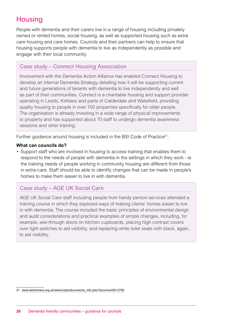## **Housing**

People with dementia and their carers live in a range of housing including privately owned or rented homes, social housing, as well as supported housing such as extra care housing and care homes. Councils and their partners can help to ensure that housing supports people with dementia to live as independently as possible and engage with their local community.

## Case study – Connect Housing Association

Involvement with the Dementia Action Alliance has enabled Connect Housing to develop an internal Dementia Strategy detailing how it will be supporting current and future generations of tenants with dementia to live independently and well as part of their communities. Connect is a charitable housing and support provider operating in Leeds, Kirklees and parts of Calderdale and Wakefield, providing quality housing to people in over 700 properties specifically for older people. The organisation is already investing in a wide range of physical improvements to property and has supported about 70 staff to undergo dementia awareness sessions and other training.

Further quidance around housing is included in the BSI Code of Practice<sup>21</sup>.

## **What can councils do?**

• Support staff who are involved in housing to access training that enables them to respond to the needs of people with dementia in the settings in which they work - ie the training needs of people working in community housing are different from those in extra-care. Staff should be able to identify changes that can be made in people's homes to make them easier to live in with dementia.

## Case study – AGE UK Social Care

AGE UK Social Care staff including people from handy person services attended a training course in which they explored ways of making clients' homes easier to live in with dementia. The course included the basic principles of environmental design and audit considerations and practical examples of simple changes, including, for example, see-through doors on kitchen cupboards, placing high contrast covers over light switches to aid visibility, and replacing white toilet seats with black, again, to aid visibility.

<sup>21</sup> [www.alzheimers.org.uk/site/scripts/documents\\_info.php?documentID=2790](http://www.alzheimers.org.uk/site/scripts/documents_info.php?documentID=2790)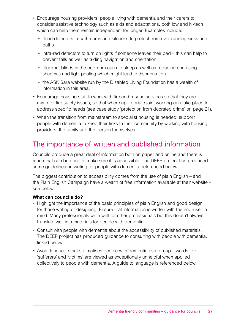- Encourage housing providers, people living with dementia and their carers to consider assistive technology such as aids and adaptations, both low and hi-tech which can help them remain independent for longer. Examples include:
	- flood detectors in bathrooms and kitchens to protect from over-running sinks and baths
	- infra-red detectors to turn on lights if someone leaves their bed this can help to prevent falls as well as aiding navigation and orientation
	- blackout blinds in the bedroom can aid sleep as well as reducing confusing shadows and light pooling which might lead to disorientation
	- the ASK Sara website run by the Disabled Living Foundation has a wealth of information in this area.
- Encourage housing staff to work with fire and rescue services so that they are aware of fire safety issues, so that where appropriate joint working can take place to address specific needs (see case study 'protection from doorstep crime' on page 21).
- When the transition from mainstream to specialist housing is needed, support people with dementia to keep their links to their community by working with housing providers, the family and the person themselves.

## The importance of written and published information

Councils produce a great deal of information both on paper and online and there is much that can be done to make sure it is accessible. The DEEP project has produced some guidelines on writing for people with dementia, referenced below.

The biggest contribution to accessibility comes from the use of plain English – and the Plain English Campaign have a wealth of free information available at their website – see below.

## **What can councils do?**

- Highlight the importance of the basic principles of plain English and good design for those writing or designing. Ensure that information is written with the end-user in mind. Many professionals write well for other professionals but this doesn't always translate well into materials for people with dementia.
- Consult with people with dementia about the accessibility of published materials. The DEEP project has produced guidance to consulting with people with dementia, linked below.
- Avoid language that stigmatises people with dementia as a group words like 'sufferers' and 'victims' are viewed as exceptionally unhelpful when applied collectively to people with dementia. A guide to language is referenced below.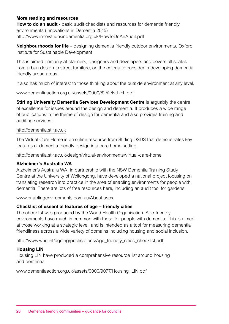## **More reading and resources**

**How to do an audit** - basic audit checklists and resources for dementia friendly environments (Innovations in Dementia 2015) <http://www.innovationsindementia.org.uk/HowToDoAnAudit.pdf>

**Neighbourhoods for life** – designing dementia friendly outdoor environments. Oxford Institute for Sustainable Development

This is aimed primarily at planners, designers and developers and covers all scales from urban design to street furniture, on the criteria to consider in developing dementia friendly urban areas.

It also has much of interest to those thinking about the outside environment at any level.

#### [www.dementiaaction.org.uk/assets/0000/8252/NfL-FL.pdf](http://www.dementiaaction.org.uk/assets/0000/8252/NfL-FL.pdf)

**Stirling University Dementia Services Development Centre** is arguably the centre of excellence for issues around the design and dementia. It produces a wide range of publications in the theme of design for dementia and also provides training and auditing services:

#### <http://dementia.stir.ac.uk>

The Virtual Care Home is on online resource from Stirling DSDS that demonstrates key features of dementia friendly design in a care home setting.

<http://dementia.stir.ac.uk/design/virtual-environments/virtual-care-home>

## **Alzheimer's Australia WA**

Alzheimer's Australia WA, in partnership with the NSW Dementia Training Study Centre at the University of Wollongong, have developed a national project focusing on translating research into practice in the area of enabling environments for people with dementia. There are lots of free resources here, including an audit tool for gardens.

[www.enablingenvironments.com.au/About.aspx](http://www.enablingenvironments.com.au/About.aspx)

## **Checklist of essential features of age – friendly cities**

The checklist was produced by the World Health Organisation. Age-friendly environments have much in common with those for people with dementia. This is aimed at those working at a strategic level, and is intended as a tool for measuring dementia friendliness across a wide variety of domains including housing and social inclusion.

[http://www.who.int/ageing/publications/Age\\_friendly\\_cities\\_checklist.pdf](http://www.who.int/ageing/publications/Age_friendly_cities_checklist.pdf)

## **Housing LIN**

Housing LIN have produced a comprehensive resource list around housing and dementia

[www.dementiaaction.org.uk/assets/0000/9077/Housing\\_LIN.pdf](http://www.dementiaaction.org.uk/assets/0000/9077/Housing_LIN.pdf)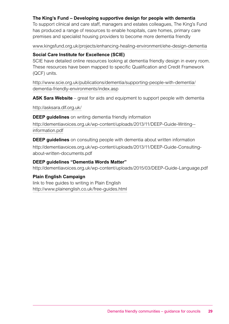## **The King's Fund – Developing supportive design for people with dementia**

To support clinical and care staff, managers and estates colleagues, The King's Fund has produced a range of resources to enable hospitals, care homes, primary care premises and specialist housing providers to become more dementia friendly

[www.kingsfund.org.uk/projects/enhancing-healing-environment/ehe-design-dementia](http://www.kingsfund.org.uk/projects/enhancing-healing-environment/ehe-design-dementia)

## **Social Care Institute for Excellence (SCIE)**

SCIE have detailed online resources looking at dementia friendly design in every room. These resources have been mapped to specific Qualification and Credit Framework (QCF) units.

[http://www.scie.org.uk/publications/dementia/supporting-people-with-dementia/](http://www.scie.org.uk/publications/dementia/supporting-people-with-dementia/dementia-friendly-envir) [dementia-friendly-environments/index.asp](http://www.scie.org.uk/publications/dementia/supporting-people-with-dementia/dementia-friendly-envir)

**ASK Sara Website** – great for aids and equipment to support people with dementia

<http://asksara.dlf.org.uk/>

**DEEP guidelines** on writing dementia friendly information

[http://dementiavoices.org.uk/wp-content/uploads/2013/11/DEEP-Guide-Writing-](http://dementiavoices.org.uk/wp-content/uploads/2013/11/DEEP-Guide-Writing--information.pdf) [information.pdf](http://dementiavoices.org.uk/wp-content/uploads/2013/11/DEEP-Guide-Writing--information.pdf)

**DEEP guidelines** on consulting people with dementia about written information http://dementiavoices.org.uk/wp-content/uploads/2013/11/DEEP-Guide-Consultingabout-written-documents.pdf

#### **DEEP guidelines "Dementia Words Matter"**

http://dementiavoices.org.uk/wp-content/uploads/2015/03/DEEP-Guide-Language.pdf

## **Plain English Campaign**

link to free guides to writing in Plain English <http://www.plainenglish.co.uk/free-guides.html>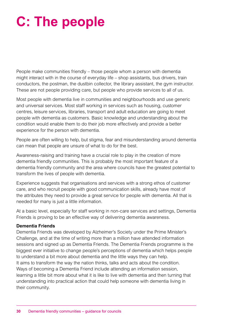# **C: The people**

People make communities friendly – those people whom a person with dementia might interact with in the course of everyday life – shop assistants, bus drivers, train conductors, the postman, the dustbin collector, the library assistant, the gym instructor. These are not people providing care, but people who provide services to all of us.

Most people with dementia live in communities and neighbourhoods and use generic and universal services. Most staff working in services such as housing, customer centres, leisure services, libraries, transport and adult education are going to meet people with dementia as customers. Basic knowledge and understanding about the condition would enable them to do their job more effectively and provide a better experience for the person with dementia.

People are often willing to help, but stigma, fear and misunderstanding around dementia can mean that people are unsure of what to do for the best.

Awareness-raising and training have a crucial role to play in the creation of more dementia friendly communities. This is probably the most important feature of a dementia friendly community and the area where councils have the greatest potential to transform the lives of people with dementia.

Experience suggests that organisations and services with a strong ethos of customer care, and who recruit people with good communication skills, already have most of the attributes they need to provide a great service for people with dementia. All that is needed for many is just a little information.

At a basic level, especially for staff working in non-care services and settings, Dementia Friends is proving to be an effective way of delivering dementia awareness.

## **Dementia Friends**

Dementia Friends was developed by Alzheimer's Society under the Prime Minister's Challenge, and at the time of writing more than a million have attended information sessions and signed up as Dementia Friends. The Dementia Friends programme is the biggest ever initiative to change people's perceptions of dementia which helps people to understand a bit more about dementia and the little ways they can help. It aims to transform the way the nation thinks, talks and acts about the condition. Ways of becoming a Dementia Friend include attending an information session, learning a little bit more about what it is like to live with dementia and then turning that understanding into practical action that could help someone with dementia living in their community.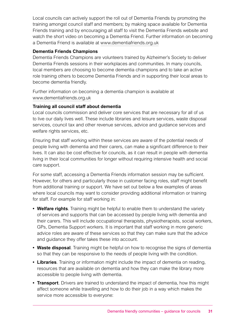Local councils can actively support the roll out of Dementia Friends by promoting the training amongst council staff and members; by making space available for Dementia Friends training and by encouraging all staff to visit the Dementia Friends website and watch the short video on becoming a Dementia Friend. Further information on becoming a Dementia Friend is available at [www.dementiafriends.org.uk](http://www.dementiafriends.org.uk)

## **Dementia Friends Champions**

Dementia Friends Champions are volunteers trained by Alzheimer's Society to deliver Dementia Friends sessions in their workplaces and communities. In many councils, local members are choosing to become dementia champions and to take an active role training others to become Dementia Friends and in supporting their local areas to become dementia friendly.

Further information on becoming a dementia champion is available at [www.dementiafriends.org.uk](http://www.dementiafriends.org.uk)

## **Training all council staff about dementia**

Local councils commission and deliver core services that are necessary for all of us to live our daily lives well. These include libraries and leisure services, waste disposal services, council tax and other revenue services, advice and guidance services and welfare rights services, etc.

Ensuring that staff working within these services are aware of the potential needs of people living with dementia and their carers, can make a significant difference to their lives. It can also be cost effective for councils, as it can result in people with dementia living in their local communities for longer without requiring intensive health and social care support.

For some staff, accessing a Dementia Friends information session may be sufficient. However, for others and particularly those in customer facing roles, staff might benefit from additional training or support. We have set out below a few examples of areas where local councils may want to consider providing additional information or training for staff. For example for staff working in:

- **• Welfare rights**. Training might be helpful to enable them to understand the variety of services and supports that can be accessed by people living with dementia and their carers. This will include occupational therapists, physiotherapists, social workers, GPs, Dementia Support workers. It is important that staff working in more generic advice roles are aware of these services so that they can make sure that the advice and guidance they offer takes these into account.
- Waste disposal. Training might be helpful on how to recognise the signs of dementia so that they can be responsive to the needs of people living with the condition.
- **• Libraries**. Training or information might include the impact of dementia on reading, resources that are available on dementia and how they can make the library more accessible to people living with dementia.
- **• Transport**. Drivers are trained to understand the impact of dementia, how this might affect someone while travelling and how to do their job in a way which makes the service more accessible to everyone: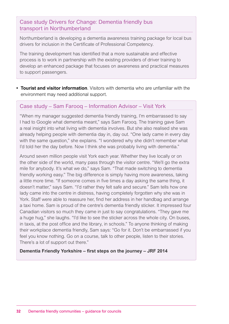Case study Drivers for Change: Dementia friendly bus transport in Northumberland

Northumberland is developing a dementia awareness training package for local bus drivers for inclusion in the Certificate of Professional Competency.

The training development has identified that a more sustainable and effective process is to work in partnership with the existing providers of driver training to develop an enhanced package that focuses on awareness and practical measures to support passengers.

**• Tourist and visitor information**. Visitors with dementia who are unfamiliar with the environment may need additional support.

## Case study – Sam Farooq – Information Advisor – Visit York

"When my manager suggested dementia friendly training, I'm embarrassed to say I had to Google what dementia meant," says Sam Farooq. The training gave Sam a real insight into what living with dementia involves. But she also realised she was already helping people with dementia day in, day out. "One lady came in every day with the same question," she explains. "I wondered why she didn't remember what I'd told her the day before. Now I think she was probably living with dementia."

Around seven million people visit York each year. Whether they live locally or on the other side of the world, many pass through the visitor centre. "We'll go the extra mile for anybody. It's what we do," says Sam. "That made switching to dementia friendly working easy." The big difference is simply having more awareness, taking a little more time. "If someone comes in five times a day asking the same thing, it doesn't matter," says Sam. "I'd rather they felt safe and secure." Sam tells how one lady came into the centre in distress, having completely forgotten why she was in York. Staff were able to reassure her, find her address in her handbag and arrange a taxi home. Sam is proud of the centre's dementia friendly sticker. It impressed four Canadian visitors so much they came in just to say congratulations. "They gave me a huge hug," she laughs. "I'd like to see the sticker across the whole city. On buses, in taxis, at the post office and the library, in schools." To anyone thinking of making their workplace dementia friendly, Sam says: "Go for it. Don't be embarrassed if you feel you know nothing. Go on a course, talk to other people, listen to their stories. There's a lot of support out there."

## **Dementia Friendly Yorkshire – first steps on the journey – JRF 2014**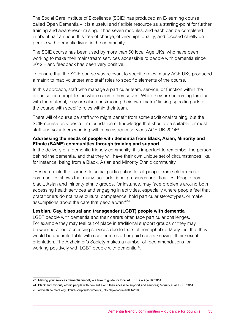The Social Care Institute of Excellence (SCIE) has produced an E-learning course called Open Dementia – it is a useful and flexible resource as a starting-point for further training and awareness- raising. It has seven modules, and each can be completed in about half an hour. It is free of charge, of very high quality, and focused chiefly on people with dementia living in the community.

The SCIE course has been used by more than 60 local Age UKs, who have been working to make their mainstream services accessible to people with dementia since 2012 – and feedback has been very positive.

To ensure that the SCIE course was relevant to specific roles, many AGE UKs produced a matrix to map volunteer and staff roles to specific elements of the course.

In this approach, staff who manage a particular team, service, or function within the organisation complete the whole course themselves. While they are becoming familiar with the material, they are also constructing their own 'matrix' linking specific parts of the course with specific roles within their team.

There will of course be staff who might benefit from some additional training, but the SCIE course provides a firm foundation of knowledge that should be suitable for most staff and volunteers working within mainstream services AGE UK 201423

## **Addressing the needs of people with dementia from Black, Asian, Minority and Ethnic (BAME) communities through training and support.**

In the delivery of a dementia friendly community, it is important to remember the person behind the dementia, and that they will have their own unique set of circumstances like, for instance, being from a Black, Asian and Minority Ethnic community.

"Research into the barriers to social participation for all people from seldom-heard communities shows that many face additional pressures or difficulties. People from black, Asian and minority ethnic groups, for instance, may face problems around both accessing health services and engaging in activities, especially where people feel that practitioners do not have cultural competence, hold particular stereotypes, or make assumptions about the care that people want"24

## **Lesbian, Gay, bisexual and transgender (LGBT) people with dementia**

LGBT people with dementia and their carers often face particular challenges. For example they may feel out of place in traditional support groups or they may be worried about accessing services due to fears of homophobia. Many feel that they would be uncomfortable with care home staff or paid carers knowing their sexual orientation. The Alzheimer's Society makes a number of recommendations for working positively with LGBT people with dementia<sup>25</sup>.

<sup>23</sup> Making your services dementia friendly – a how to guide for local AGE UKs – Age Uk 2014

<sup>24</sup> Black and minority ethnic people with dementia and their access to support and services; Moriaty et al: SCIE 2014

<sup>25</sup> [www.alzheimers.org.uk/site/scripts/documents\\_info.php?documentID=1100](http://www.alzheimers.org.uk/site/scripts/documents_info.php?documentID=1100)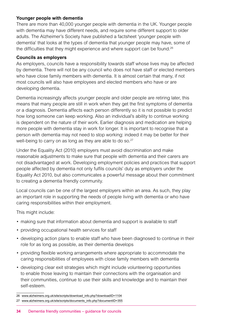## **Younger people with dementia**

There are more than 40,000 younger people with dementia in the UK. Younger people with dementia may have different needs, and require some different support to older adults. The Alzheimer's Society have published a factsheet 'younger people with dementia' that looks at the types of dementia that younger people may have, some of the difficulties that they might experience and where support can be found.<sup>26</sup>

## **Councils as employers**

As employers, councils have a responsibility towards staff whose lives may be affected by dementia. There will not be any council who does not have staff or elected members who have close family members with dementia. It is almost certain that many, if not most councils will also have employees and elected members who have or are developing dementia.

Dementia increasingly affects younger people and older people are retiring later, this means that many people are still in work when they get the first symptoms of dementia or a diagnosis. Dementia affects each person differently so it is not possible to predict how long someone can keep working. Also an individual's ability to continue working is dependent on the nature of their work. Earlier diagnosis and medication are helping more people with dementia stay in work for longer. It is important to recognise that a person with dementia may not need to stop working: indeed it may be better for their well-being to carry on as long as they are able to do so.<sup>27</sup>

Under the Equality Act (2010) employers must avoid discrimination and make reasonable adjustments to make sure that people with dementia and their carers are not disadvantaged at work. Developing employment policies and practices that support people affected by dementia not only fulfils councils' duty as employers under the Equality Act 2010, but also communicates a powerful message about their commitment to creating a dementia friendly community.

Local councils can be one of the largest employers within an area. As such, they play an important role in supporting the needs of people living with dementia or who have caring responsibilities within their employment.

This might include:

- making sure that information about dementia and support is available to staff
- providing occupational health services for staff
- developing action plans to enable staff who have been diagnosed to continue in their role for as long as possible, as their dementia develops
- providing flexible working arrangements where appropriate to accommodate the caring responsibilities of employees with close family members with dementia
- developing clear exit strategies which might include volunteering opportunities to enable those leaving to maintain their connections with the organisation and their communities, continue to use their skills and knowledge and to maintain their self-esteem.

<sup>26</sup> [www.alzheimers.org.uk/site/scripts/download\\_info.php?downloadID=1104](http://www.alzheimers.org.uk/site/scripts/download_info.php?downloadID=1104)

<sup>27</sup> [www.alzheimers.org.uk/site/scripts/documents\\_info.php?documentID=355](http://www.alzheimers.org.uk/site/scripts/documents_info.php?documentID=355)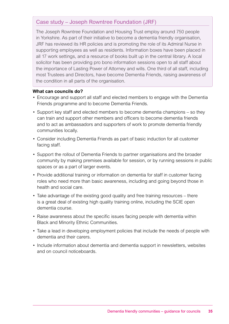## Case study – Joseph Rowntree Foundation (JRF)

The Joseph Rowntree Foundation and Housing Trust employ around 750 people in Yorkshire. As part of their initiative to become a dementia friendly organisation, JRF has reviewed its HR policies and is promoting the role of its Admiral Nurse in supporting employees as well as residents. Information boxes have been placed in all 17 work settings, and a resource of books built up in the central library. A local solicitor has been providing pro bono information sessions open to all staff about the importance of Lasting Power of Attorney and wills. One third of all staff, including most Trustees and Directors, have become Dementia Friends, raising awareness of the condition in all parts of the organisation.

## **What can councils do?**

- Encourage and support all staff and elected members to engage with the Dementia Friends programme and to become Dementia Friends.
- Support key staff and elected members to become dementia champions so they can train and support other members and officers to become dementia friends and to act as ambassadors and supporters of work to promote dementia friendly communities locally.
- Consider including Dementia Friends as part of basic induction for all customer facing staff.
- Support the rollout of Dementia Friends to partner organisations and the broader community by making premises available for session, or by running sessions in public spaces or as a part of larger events.
- Provide additional training or information on dementia for staff in customer facing roles who need more than basic awareness, including and going beyond those in health and social care.
- Take advantage of the existing good quality and free training resources there is a great deal of existing high quality training online, including the SCIE open dementia course.
- Raise awareness about the specific issues facing people with dementia within Black and Minority Ethnic Communities.
- Take a lead in developing employment policies that include the needs of people with dementia and their carers.
- Include information about dementia and dementia support in newsletters, websites and on council noticeboards.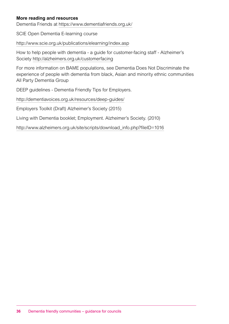## **More reading and resources**

Dementia Friends at <https://www.dementiafriends.org.uk/>

SCIE Open Dementia E-learning course

<http://www.scie.org.uk/publications/elearning/index.asp>

How to help people with dementia - a guide for customer-facing staff - Alzheimer's Society<http://alzheimers.org.uk/customerfacing>

For more information on BAME populations, see Dementia Does Not Discriminate the experience of people with dementia from black, Asian and minority ethnic communities All Party Dementia Group

DEEP guidelines - Dementia Friendly Tips for Employers.

<http://dementiavoices.org.uk/resources/deep-guides/>

Employers Toolkit (Draft) Alzheimer's Society (2015)

Living with Dementia booklet; Employment. Alzheimer's Society. (2010)

[http://www.alzheimers.org.uk/site/scripts/download\\_info.php?fileID=1016](http://www.alzheimers.org.uk/site/scripts/download_info.php?fileID=1016 )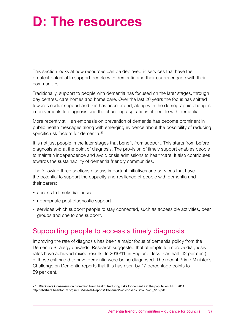# **D: The resources**

This section looks at how resources can be deployed in services that have the greatest potential to support people with dementia and their carers engage with their communities.

Traditionally, support to people with dementia has focused on the later stages, through day centres, care homes and home care. Over the last 20 years the focus has shifted towards earlier support and this has accelerated, along with the demographic changes, improvements to diagnosis and the changing aspirations of people with dementia.

More recently still, an emphasis on prevention of dementia has become prominent in public health messages along with emerging evidence about the possibility of reducing specific risk factors for dementia.<sup>27</sup>

It is not just people in the later stages that benefit from support. This starts from before diagnosis and at the point of diagnosis. The provision of timely support enables people to maintain independence and avoid crisis admissions to healthcare. It also contributes towards the sustainability of dementia friendly communities.

The following three sections discuss important initiatives and services that have the potential to support the capacity and resilience of people with dementia and their carers:

- access to timely diagnosis
- appropriate post-diagnostic support
- services which support people to stay connected, such as accessible activities, peer groups and one to one support.

## Supporting people to access a timely diagnosis

Improving the rate of diagnosis has been a major focus of dementia policy from the Dementia Strategy onwards. Research suggested that attempts to improve diagnosis rates have achieved mixed results. In 2010/11, in England, less than half (42 per cent) of those estimated to have dementia were being diagnosed. The recent Prime Minister's Challenge on Dementia reports that this has risen by 17 percentage points to 59 per cent.

<sup>27</sup> Blackfriars Consensus on promoting brain health: Reducing risks for dementia in the population; PHE 2014 http://nhfshare.heartforum.org.uk/RMAssets/Reports/Blackfriars%20consensus%20%20\_V18.pdf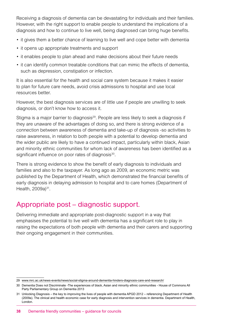Receiving a diagnosis of dementia can be devastating for individuals and their families. However, with the right support to enable people to understand the implications of a diagnosis and how to continue to live well, being diagnosed can bring huge benefits.

- it gives them a better chance of learning to live well and cope better with dementia
- it opens up appropriate treatments and support
- it enables people to plan ahead and make decisions about their future needs
- it can identify common treatable conditions that can mimic the effects of dementia, such as depression, constipation or infection.

It is also essential for the health and social care system because it makes it easier to plan for future care needs, avoid crisis admissions to hospital and use local resources better.

However, the best diagnosis services are of little use if people are unwilling to seek diagnosis, or don't know how to access it.

Stigma is a major barrier to diagnosis<sup>29</sup>. People are less likely to seek a diagnosis if they are unaware of the advantages of doing so, and there is strong evidence of a connection between awareness of dementia and take-up of diagnosis -so activities to raise awareness, in relation to both people with a potential to develop dementia and the wider public are likely to have a continued impact, particularly within black, Asian and minority ethnic communities for whom lack of awareness has been identified as a significant influence on poor rates of diagnosis<sup>30</sup>.

There is strong evidence to show the benefit of early diagnosis to individuals and families and also to the taxpayer. As long ago as 2009, an economic metric was published by the Department of Health, which demonstrated the financial benefits of early diagnosis in delaying admission to hospital and to care homes (Department of Health, 2009a)<sup>31</sup>.

## Appropriate post – diagnostic support.

Delivering immediate and appropriate post-diagnostic support in a way that emphasises the potential to live well with dementia has a significant role to play in raising the expectations of both people with dementia and their carers and supporting their ongoing engagement in their communities.

<sup>29</sup> [www.mrc.ac.uk/news-events/news/social-stigma-around-dementia-hinders-diagnosis-care-and-research/](http://www.mrc.ac.uk/news-events/news/social-stigma-around-dementia-hinders-diagnosis-care-and-research/)

<sup>30</sup> Dementia Does not Discriminate -The experiences of black, Asian and minority ethnic communities - House of Commons All Party Parliamentary Group on Dementia 2013

<sup>31</sup> Unlocking Diagnosis – the key to improving the lives of people with dementia APGD 2012 – referencing Department of Health (2009a). The clinical and health economic case for early diagnosis and intervention services in dementia. Department of Health, London.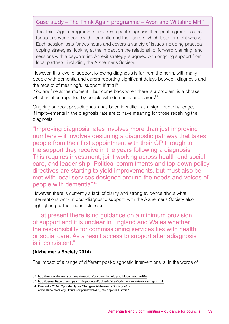## Case study – The Think Again programme – Avon and Wiltshire MHP

The Think Again programme provides a post-diagnosis therapeutic group course for up to seven people with dementia and their carers which lasts for eight weeks. Each session lasts for two hours and covers a variety of issues including practical coping strategies, looking at the impact on the relationship, forward planning, and sessions with a psychiatrist. An exit strategy is agreed with ongoing support from local partners, including the Alzheimer's Society.

However, this level of support following diagnosis is far from the norm, with many people with dementia and carers reporting significant delays between diagnosis and the receipt of meaningful support, if at all $^{32}$ .

'You are fine at the moment – but come back when there is a problem' is a phrase which is often reported by people with dementia and carers<sup>33</sup>.

Ongoing support post-diagnosis has been identified as a significant challenge, if improvements in the diagnosis rate are to have meaning for those receiving the diagnosis.

"Improving diagnosis rates involves more than just improving numbers – it involves designing a diagnostic pathway that takes people from their first appointment with their GP through to the support they receive in the years following a diagnosis This requires investment, joint working across health and social care, and leader ship. Political commitments and top-down policy directives are starting to yield improvements, but must also be met with local services designed around the needs and voices of people with dementia"34.

However, there is currently a lack of clarity and strong evidence about what interventions work in post-diagnostic support, with the Alzheimer's Society also highlighting further inconsistencies:

"…at present there is no guidance on a minimum provision of support and it is unclear in England and Wales whether the responsibility for commissioning services lies with health or social care. As a result access to support after adiagnosis is inconsistent."

## **(Alzheimer's Society 2014)**

The impact of a range of different post-diagnostic interventions is, in the words of

<sup>32</sup> [http://www.alzheimers.org.uk/site/scripts/documents\\_info.php?documentID=404](http://www.alzheimers.org.uk/site/scripts/documents_info.php?documentID=404)

<sup>33</sup> <http://dementiapartnerships.com/wp-content/uploads/sites/2/dementia-review-final-report.pdf>

<sup>34</sup> Dementia 2014: Opportunity for Change – Alzheimer's Society 2014 [www.alzheimers.org.uk/site/scripts/download\\_info.php?fileID=2317](http://www.alzheimers.org.uk/site/scripts/download_info.php?fileID=2317)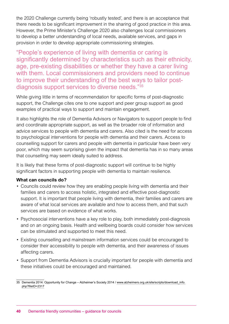the 2020 Challenge currently being 'robustly tested', and there is an acceptance that there needs to be significant improvement in the sharing of good practice in this area. However, the Prime Minister's Challenge 2020 also challenges local commissioners to develop a better understanding of local needs, available services, and gaps in provision in order to develop appropriate commissioning strategies.

"People's experience of living with dementia or caring is significantly determined by characteristics such as their ethnicity, age, pre-existing disabilities or whether they have a carer living with them. Local commissioners and providers need to continue to improve their understanding of the best ways to tailor postdiagnosis support services to diverse needs."35

While giving little in terms of recommendation for specific forms of post-diagnostic support, the Challenge cites one to one support and peer group support as good examples of practical ways to support and maintain engagement.

It also highlights the role of Dementia Advisors or Navigators to support people to find and coordinate appropriate support, as well as the broader role of information and advice services to people with dementia and carers. Also cited is the need for access to psychological interventions for people with dementia and their carers. Access to counselling support for carers and people with dementia in particular have been very poor, which may seem surprising given the impact that dementia has in so many areas that counselling may seem ideally suited to address.

It is likely that these forms of post-diagnostic support will continue to be highly significant factors in supporting people with dementia to maintain resilience.

## **What can councils do?**

- Councils could review how they are enabling people living with dementia and their families and carers to access holistic, integrated and effective post-diagnostic support. It is important that people living with dementia, their families and carers are aware of what local services are available and how to access them, and that such services are based on evidence of what works.
- Psychosocial interventions have a key role to play, both immediately post-diagnosis and on an ongoing basis. Health and wellbeing boards could consider how services can be stimulated and supported to meet this need.
- Existing counselling and mainstream information services could be encouraged to consider their accessibility to people with dementia, and their awareness of issues affecting carers.
- Support from Dementia Advisors is crucially important for people with dementia and these initiatives could be encouraged and maintained.

<sup>35</sup> Dementia 2014: Opportunity for Change – Alzheimer's Society 2014 / [www.alzheimers.org.uk/site/scripts/download\\_info.](http://www.alzheimers.org.uk/site/scripts/download_info.php?fileID=2317) [php?fileID=2317](http://www.alzheimers.org.uk/site/scripts/download_info.php?fileID=2317)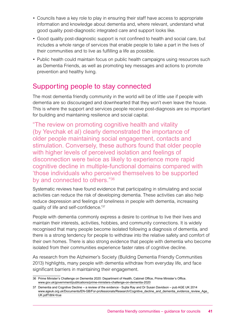- Councils have a key role to play in ensuring their staff have access to appropriate information and knowledge about dementia and, where relevant, understand what good quality post-diagnostic integrated care and support looks like.
- Good quality post-diagnostic support is not confined to health and social care, but includes a whole range of services that enable people to take a part in the lives of their communities and to live as fulfilling a life as possible.
- Public health could maintain focus on public health campaigns using resources such as Dementia Friends, as well as promoting key messages and actions to promote prevention and healthy living.

## Supporting people to stay connected

The most dementia friendly community in the world will be of little use if people with dementia are so discouraged and downhearted that they won't even leave the house. This is where the support and services people receive post-diagnosis are so important for building and maintaining resilience and social capital.

"The review on promoting cognitive health and vitality (by Yevchak et al) clearly demonstrated the importance of older people maintaining social engagement, contacts and stimulation. Conversely, these authors found that older people with higher levels of perceived isolation and feelings of disconnection were twice as likely to experience more rapid cognitive decline in multiple-functional domains compared with 'those individuals who perceived themselves to be supported by and connected to others."36

Systematic reviews have found evidence that participating in stimulating and social activities can reduce the risk of developing dementia. These activities can also help reduce depression and feelings of loneliness in people with dementia, increasing quality of life and self-confidence.'37

People with dementia commonly express a desire to continue to live their lives and maintain their interests, activities, hobbies, and community connections. It is widely recognised that many people become isolated following a diagnosis of dementia, and there is a strong tendency for people to withdraw into the relative safety and comfort of their own homes. There is also strong evidence that people with dementia who become isolated from their communities experience faster rates of cognitive decline.

As research from the Alzheimer's Society (Building Dementia Friendly Communities 2013) highlights, many people with dementia withdraw from everyday life, and face significant barriers in maintaining their engagement.

<sup>36</sup> Prime Minister's Challenge on Dementia 2020: Department of Health, Cabinet Office, Prime Minister's Office. [www.gov.uk/government/publications/prime-ministers-challenge-on-dementia-2020](http://www.gov.uk/government/publications/prime-ministers-challenge-on-dementia-2020)

<sup>37</sup> Dementia and Cognitive Decline – a review of the evidence - Sujita Ray and Dr Susan Davidson – pub AGE UK 2014 [www.ageuk.org.uk/Documents/EN-GB/For-professionals/Research/Cognitive\\_decline\\_and\\_dementia\\_evidence\\_review\\_Age\\_](http://www.ageuk.org.uk/Documents/EN-GB/For-professionals/Research/Cognitive_decline_and_dementia_evidence_) [UK.pdf?dtrk=true](http://www.ageuk.org.uk/Documents/EN-GB/For-professionals/Research/Cognitive_decline_and_dementia_evidence_)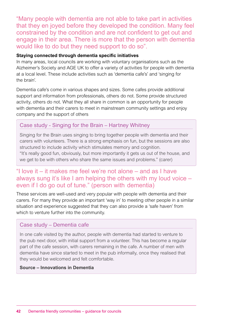"Many people with dementia are not able to take part in activities that they en joyed before they developed the condition. Many feel constrained by the condition and are not confident to get out and engage in their area. There is more that the person with dementia would like to do but they need support to do so".

## **Staying connected through dementia specific initiatives**

In many areas, local councils are working with voluntary organisations such as the Alzheimer's Society and AGE UK to offer a variety of activities for people with dementia at a local level. These include activities such as 'dementia cafe's' and 'singing for the brain'.

Dementia cafe's come in various shapes and sizes. Some cafes provide additional support and information from professionals, others do not. Some provide structured activity, others do not. What they all share in common is an opportunity for people with dementia and their carers to meet in mainstream community settings and enjoy company and the support of others

## Case study - Singing for the Brain – Hartney Whitney

Singing for the Brain uses singing to bring together people with dementia and their carers with volunteers. There is a strong emphasis on fun, but the sessions are also structured to include activity which stimulates memory and cognition. "It's really good fun, obviously, but more importantly it gets us out of the house, and we get to be with others who share the same issues and problems." (carer)

## "I love it – it makes me feel we're not alone – and as I have always sung it's like I am helping the others with my loud voice – even if I do go out of tune." (person with dementia)

These services are well-used and very popular with people with dementia and their carers. For many they provide an important 'way in' to meeting other people in a similar situation and experience suggested that they can also provide a 'safe haven' from which to venture further into the community.

## Case study – Dementia cafe

In one cafe visited by the author, people with dementia had started to venture to the pub next door, with initial support from a volunteer. This has become a regular part of the cafe session, with carers remaining in the cafe. A number of men with dementia have since started to meet in the pub informally, once they realised that they would be welcomed and felt comfortable.

## **Source – Innovations in Dementia**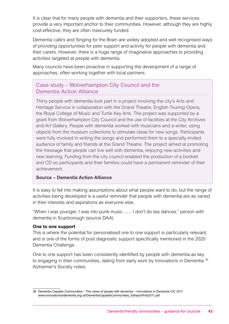It is clear that for many people with dementia and their supporters, these services provide a very important anchor to their communities. However, although they are highly cost-effective, they are often insecurely funded.

Dementia cafe's and Singing for the Brain are widely adopted and well recognised ways of providing opportunities for peer support and activity for people with dementia and their carers. However, there is a huge range of imaginative approaches to providing activities targeted at people with dementia.

Many councils have been proactive in supporting the development of a range of approaches, often working together with local partners.

## Case study – Wolverhampton City Council and the Dementia Action Alliance

Thirty people with dementia took part in a project involving the city's Arts and Heritage Service in collaboration with the Grand Theatre, English Touring Opera, the Royal College of Music and Turtle Key Arts. The project was supported by a grant from Wolverhampton City Council and the use of facilities at the City Archives and Art Gallery. People with dementia worked with musicians and a writer, using objects from the museum collections to stimulate ideas for new songs. Participants were fully involved in writing the songs and performed them to a specially-invited audience of family and friends at the Grand Theatre. The project aimed at promoting the message that people can live well with dementia, enjoying new activities and new learning. Funding from the city council enabled the production of a booklet and CD so participants and their families could have a permanent reminder of their achievement.

## **Source – Dementia Action Alliance**

It is easy to fall into making assumptions about what people want to do, but the range of activities being developed is a useful reminder that people with dementia are as varied in their interests and aspirations as everyone else.

"When I was younger, I was into punk music…… I don't do tea dances." person with dementia in Scarborough (source DAA)

## **One to one support**

This is where the potential for personalised one to one support is particularly relevant, and is one of the forms of post diagnostic support specifically mentioned in the 2020 Dementia Challenge.

One to one support has been consistently identified by people with dementia as key to engaging in their communities, dating from early work by Innovations in Dementia<sup>38</sup> Alzheimer's Society notes:

<sup>38</sup> Dementia Capable Communities – The views of people with dementia – Innovations in Dementia CIC 2011 [www.innovationsindementia.org.uk/DementiaCapableCommunities\\_fullreportFeb2011.pdf](http://www.innovationsindementia.org.uk/DementiaCapableCommunities_fullreportFeb2011.pdf)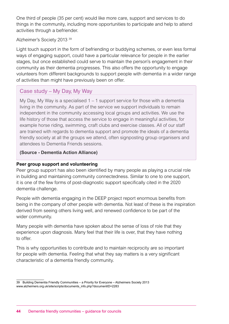One third of people (35 per cent) would like more care, support and services to do things in the community, including more opportunities to participate and help to attend activities through a befriender.

## Alzheimer's Society 2013 39

Light touch support in the form of befriending or buddying schemes, or even less formal ways of engaging support, could have a particular relevance for people in the earlier stages, but once established could serve to maintain the person's engagement in their community as their dementia progresses. This also offers the opportunity to engage volunteers from different backgrounds to support people with dementia in a wider range of activities than might have previously been on offer.

## Case study – My Day, My Way

My Day, My Way is a specialised 1 – 1 support service for those with a dementia living in the community. As part of the service we support individuals to remain independent in the community accessing local groups and activities. We use the life history of those that access the service to engage in meaningful activities, for example horse riding, swimming, craft clubs and exercise classes. All of our staff are trained with regards to dementia support and promote the ideals of a dementia friendly society at all the groups we attend, often signposting group organisers and attendees to Dementia Friends sessions.

## **(Source - Dementia Action Alliance)**

## **Peer group support and volunteering**

Peer group support has also been identified by many people as playing a crucial role in building and maintaining community connectedness. Similar to one to one support, it is one of the few forms of post-diagnostic support specifically cited in the 2020 dementia challenge.

People with dementia engaging in the DEEP project report enormous benefits from being in the company of other people with dementia. Not least of these is the inspiration derived from seeing others living well, and renewed confidence to be part of the wider community.

Many people with dementia have spoken about the sense of loss of role that they experience upon diagnosis. Many feel that their life is over, that they have nothing to offer.

This is why opportunities to contribute and to maintain reciprocity are so important for people with dementia. Feeling that what they say matters is a very significant characteristic of a dementia friendly community.

<sup>39</sup> Building Dementia Friendly Communities – a Priority for Everyone – Alzheimers Society 2013 www.alzheimers.org.uk/site/scripts/documents\_info.php?documentID=2283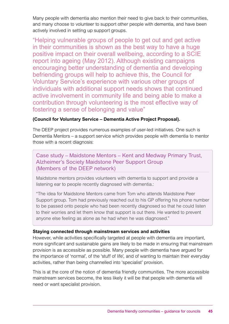Many people with dementia also mention their need to give back to their communities, and many choose to volunteer to support other people with dementia, and have been actively involved in setting up support groups.

"Helping vulnerable groups of people to get out and get active in their communities is shown as the best way to have a huge positive impact on their overall wellbeing, according to a SCIE report into ageing (May 2012). Although existing campaigns encouraging better understanding of dementia and developing befriending groups will help to achieve this, the Council for Voluntary Service's experience with various other groups of individuals with additional support needs shows that continued active involvement in community life and being able to make a contribution through volunteering is the most effective way of fostering a sense of belonging and value"

## **(Council for Voluntary Service – Dementia Active Project Proposal).**

The DEEP project provides numerous examples of user-led initiatives. One such is Dementia Mentors – a support service which provides people with dementia to mentor those with a recent diagnosis:

Case study – Maidstone Mentors – Kent and Medway Primary Trust, Alzheimer's Society Maidstone Peer Support Group (Members of the DEEP network)

Maidstone mentors provides volunteers with dementia to support and provide a listening ear to people recently diagnosed with dementia.:

"The idea for Maidstone Mentors came from Tom who attends Maidstone Peer Support group. Tom had previously reached out to his GP offering his phone number to be passed onto people who had been recently diagnosed so that he could listen to their worries and let them know that support is out there. He wanted to prevent anyone else feeling as alone as he had when he was diagnosed."

## **Staying connected through mainstream services and activities**

However, while activities specifically targeted at people with dementia are important, more significant and sustainable gains are likely to be made in ensuring that mainstream provision is as accessible as possible. Many people with dementia have argued for the importance of 'normal', of the 'stuff of life', and of wanting to maintain their everyday activities, rather than being channelled into 'specialist' provision.

This is at the core of the notion of dementia friendly communities. The more accessible mainstream services become, the less likely it will be that people with dementia will need or want specialist provision.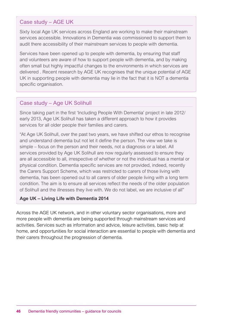## Case study – AGE UK

Sixty local Age UK services across England are working to make their mainstream services accessible. Innovations in Dementia was commissioned to support them to audit there accessibility of their mainstream services to people with dementia.

Services have been opened up to people with dementia, by ensuring that staff and volunteers are aware of how to support people with dementia, and by making often small but highly impactful changes to the environments in which services are delivered . Recent research by AGE UK recognises that the unique potential of AGE UK in supporting people with dementia may lie in the fact that it is NOT a dementia specific organisation.

## Case study – Age UK Solihull

Since taking part in the first 'Including People With Dementia' project in late 2012/ early 2013, Age UK Solihull has taken a different approach to how it provides services for all older people their families and carers.

"At Age UK Solihull, over the past two years, we have shifted our ethos to recognise and understand dementia but not let it define the person. The view we take is simple – focus on the person and their needs, not a diagnosis or a label. All services provided by Age UK Solihull are now regularly assessed to ensure they are all accessible to all, irrespective of whether or not the individual has a mental or physical condition. Dementia specific services are not provided, indeed, recently the Carers Support Scheme, which was restricted to carers of those living with dementia, has been opened out to all carers of older people living with a long term condition. The aim is to ensure all services reflect the needs of the older population of Solihull and the illnesses they live with. We do not label, we are inclusive of all"

## **Age UK – Living Life with Dementia 2014**

Across the AGE UK network, and in other voluntary sector organisations, more and more people with dementia are being supported through mainstream services and activities. Services such as information and advice, leisure activities, basic help at home, and opportunities for social interaction are essential to people with dementia and their carers throughout the progression of dementia.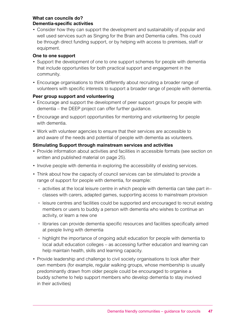## **What can councils do? Dementia-specific activities**

• Consider how they can support the development and sustainability of popular and well used services such as Singing for the Brain and Dementia cafes. This could be through direct funding support, or by helping with access to premises, staff or equipment.

## **One to one support**

- Support the development of one to one support schemes for people with dementia that include opportunities for both practical support and engagement in the community.
- Encourage organisations to think differently about recruiting a broader range of volunteers with specific interests to support a broader range of people with dementia.

## **Peer group support and volunteering**

- Encourage and support the development of peer support groups for people with dementia – the DEEP project can offer further guidance.
- Encourage and support opportunities for mentoring and volunteering for people with dementia.
- Work with volunteer agencies to ensure that their services are accessible to and aware of the needs and potential of people with dementia as volunteers.

## **Stimulating Support through mainstream services and activities**

- Provide information about activities and facilities in accessible formats (see section on written and published material on page 25).
- Involve people with dementia in exploring the accessibility of existing services.
- Think about how the capacity of council services can be stimulated to provide a range of support for people with dementia, for example:
	- activities at the local leisure centre in which people with dementia can take part in– classes with carers, adapted games, supporting access to mainstream provision
	- leisure centres and facilities could be supported and encouraged to recruit existing members or users to buddy a person with dementia who wishes to continue an activity, or learn a new one
	- libraries can provide dementia specific resources and facilities specifically aimed at people living with dementia
	- highlight the importance of ongoing adult education for people with dementia to local adult education colleges – as accessing further education and learning can help maintain health, skills and learning capacity.
- Provide leadership and challenge to civil society organisations to look after their own members (for example, regular walking groups, whose membership is usually predominantly drawn from older people could be encouraged to organise a buddy scheme to help support members who develop dementia to stay involved in their activities)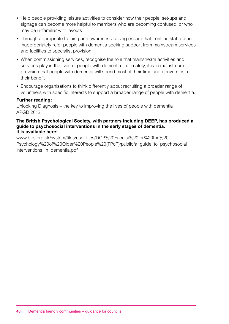- Help people providing leisure activities to consider how their people, set-ups and signage can become more helpful to members who are becoming confused, or who may be unfamiliar with layouts
- Through appropriate training and awareness-raising ensure that frontline staff do not inappropriately refer people with dementia seeking support from mainstream services and facilities to specialist provision
- When commissioning services, recognise the role that mainstream activities and services play in the lives of people with dementia – ultimately, it is in mainstream provision that people with dementia will spend most of their time and derive most of their benefit
- Encourage organisations to think differently about recruiting a broader range of volunteers with specific interests to support a broader range of people with dementia.

## **Further reading:**

Unlocking Diagnosis – the key to improving the lives of people with dementia APGD 2012

#### **The British Psychological Society, with partners including DEEP, has produced a guide to psychosocial interventions in the early stages of dementia. It is available here:**

[www.bps.org.uk/system/files/user-files/DCP%20Faculty%20for%20the%20](http://www.bps.org.uk/system/files/user-files/DCP%20Faculty%20for%20the%20Psychology%20of%20Older%20People%) [Psychology%20of%20Older%20People%20\(FPoP\)/public/a\\_guide\\_to\\_psychosocial\\_](http://www.bps.org.uk/system/files/user-files/DCP%20Faculty%20for%20the%20Psychology%20of%20Older%20People%) interventions in dementia.pdf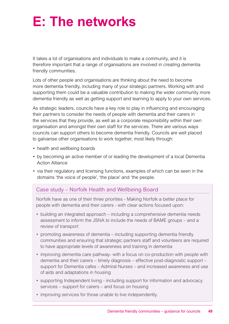# **E: The networks**

It takes a lot of organisations and individuals to make a community, and it is therefore important that a range of organisations are involved in creating dementia friendly communities.

Lots of other people and organisations are thinking about the need to become more dementia friendly, including many of your strategic partners. Working with and supporting them could be a valuable contribution to making the wider community more dementia friendly as well as getting support and learning to apply to your own services.

As strategic leaders, councils have a key role to play in influencing and encouraging their partners to consider the needs of people with dementia and their carers in the services that they provide, as well as a corporate responsibility within their own organisation and amongst their own staff for the services. There are various ways councils can support others to become dementia friendly. Councils are well placed to galvanise other organisations to work together, most likely through:

- health and wellbeing boards
- by becoming an active member of or leading the development of a local Dementia Action Alliance
- via their regulatory and licensing functions, examples of which can be seen in the domains 'the voice of people', 'the place' and 'the people.

## Case study – Norfolk Health and Wellbeing Board

Norfolk have as one of their three priorities - Making Norfolk a better place for people with dementia and their carers - with clear actions focused upon:

- building an integrated approach including a comprehensive dementia needs assessment to inform the JSNA to include the needs of BAME groups – and a review of transport
- promoting awareness of dementia including supporting dementia friendly communities and ensuring that strategic partners staff and volunteers are required to have appropriate levels of awareness and training in dementia
- improving dementia care pathway- with a focus on co-production with people with dementia and their carers – timely diagnosis – effective post-diagnostic support – support for Dementia cafes – Admiral Nurses – and increased awareness and use of aids and adaptations in housing
- supporting Independent living including support for information and advocacy services – support for carers – and focus on housing
- improving services for those unable to live independently.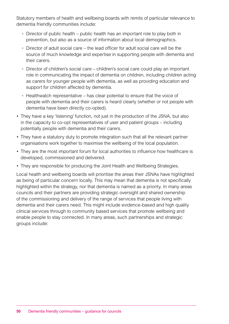Statutory members of health and wellbeing boards with remits of particular relevance to dementia friendly communities include:

- Director of public health public health has an important role to play both in prevention, but also as a source of information about local demographics.
- Director of adult social care the lead officer for adult social care will be the source of much knowledge and expertise in supporting people with dementia and their carers.
- Director of children's social care children's social care could play an important role in communicating the impact of dementia on children, including children acting as carers for younger people with dementia, as well as providing education and support for children affected by dementia.
- Healthwatch representative has clear potential to ensure that the voice of people with dementia and their carers is heard clearly (whether or not people with dementia have been directly co-opted).
- They have a key 'listening' function, not just in the production of the JSNA, but also in the capacity to co-opt representatives of user and patient groups – including potentially people with dementia and their carers.
- They have a statutory duty to promote integration such that all the relevant partner organisations work together to maximise the wellbeing of the local population.
- They are the most important forum for local authorities to influence how healthcare is developed, commissioned and delivered.
- They are responsible for producing the Joint Health and Wellbeing Strategies.

Local health and wellbeing boards will prioritise the areas their JSNAs have highlighted as being of particular concern locally. This may mean that dementia is not specifically highlighted within the strategy, nor that dementia is named as a priority. In many areas councils and their partners are providing strategic oversight and shared ownership of the commissioning and delivery of the range of services that people living with dementia and their carers need. This might include evidence-based and high quality clinical services through to community based services that promote wellbeing and enable people to stay connected. In many areas, such partnerships and strategic groups include: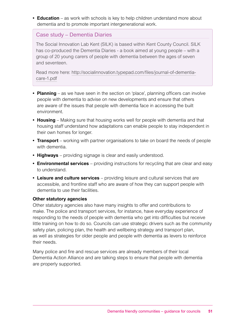**• Education** – as work with schools is key to help children understand more about dementia and to promote important intergenerational work.

## Case study – Dementia Diaries

The Social Innovation Lab Kent (SILK) is based within Kent County Council. SILK has co-produced the Dementia Diaries - a book aimed at young people – with a group of 20 young carers of people with dementia between the ages of seven and seventeen.

Read more here: [http://socialinnovation.typepad.com/files/journal-of-dementia](http://socialinnovation.typepad.com/files/journal-of-dementia-care-1.pdf)[care-1.pdf](http://socialinnovation.typepad.com/files/journal-of-dementia-care-1.pdf)

- **• Planning** as we have seen in the section on 'place', planning officers can involve people with dementia to advise on new developments and ensure that others are aware of the issues that people with dementia face in accessing the built environment.
- **• Housing** Making sure that housing works well for people with dementia and that housing staff understand how adaptations can enable people to stay independent in their own homes for longer.
- **• Transport** working with partner organisations to take on board the needs of people with dementia.
- **• Highways** providing signage is clear and easily understood.
- **• Environmental services** providing instructions for recycling that are clear and easy to understand.
- **• Leisure and culture services** providing leisure and cultural services that are accessible, and frontline staff who are aware of how they can support people with dementia to use their facilities.

## **Other statutory agencies**

Other statutory agencies also have many insights to offer and contributions to make. The police and transport services, for instance, have everyday experience of responding to the needs of people with dementia who get into difficulties but receive little training on how to do so. Councils can use strategic drivers such as the community safety plan, policing plan, the health and wellbeing strategy and transport plan, as well as strategies for older people and people with dementia as levers to reinforce their needs.

Many police and fire and rescue services are already members of their local Dementia Action Alliance and are talking steps to ensure that people with dementia are properly supported.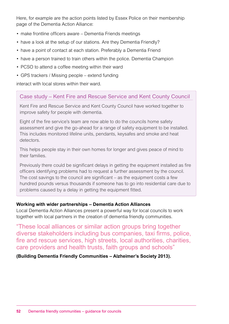Here, for example are the action points listed by Essex Police on their membership page of the Dementia Action Alliance:

- make frontline officers aware Dementia Friends meetings
- have a look at the setup of our stations. Are they Dementia Friendly?
- have a point of contact at each station. Preferably a Dementia Friend
- have a person trained to train others within the police. Dementia Champion
- PCSO to attend a coffee meeting within their ward
- GPS trackers / Missing people extend funding

interact with local stores within their ward.

## Case study – Kent Fire and Rescue Service and Kent County Council

Kent Fire and Rescue Service and Kent County Council have worked together to improve safety for people with dementia.

Eight of the fire service's team are now able to do the councils home safety assessment and give the go-ahead for a range of safety equipment to be installed. This includes monitored lifeline units, pendants, keysafes and smoke and heat detectors.

This helps people stay in their own homes for longer and gives peace of mind to their families.

Previously there could be significant delays in getting the equipment installed as fire officers identifying problems had to request a further assessment by the council. The cost savings to the council are significant – as the equipment costs a few hundred pounds versus thousands if someone has to go into residential care due to problems caused by a delay in getting the equipment fitted.

## **Working with wider partnerships – Dementia Action Alliances**

Local Dementia Action Alliances present a powerful way for local councils to work together with local partners in the creation of dementia friendly communities.

"These local alliances or similar action groups bring together diverse stakeholders including bus companies, taxi firms, police, fire and rescue services, high streets, local authorities, charities, care providers and health trusts, faith groups and schools"

**(Building Dementia Friendly Communities – Alzheimer's Society 2013).**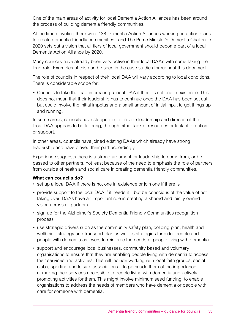One of the main areas of activity for local Dementia Action Alliances has been around the process of building dementia friendly communities.

At the time of writing there were 138 Dementia Action Alliances working on action plans to create dementia friendly communities , and The Prime Minister's Dementia Challenge 2020 sets out a vision that all tiers of local government should become part of a local Dementia Action Alliance by 2020.

Many councils have already been very active in their local DAA's with some taking the lead role. Examples of this can be seen in the case studies throughout this document.

The role of councils in respect of their local DAA will vary according to local conditions. There is considerable scope for:

• Councils to take the lead in creating a local DAA if there is not one in existence. This does not mean that their leadership has to continue once the DAA has been set out but could involve the initial impetus and a small amount of initial input to get things up and running.

In some areas, councils have stepped in to provide leadership and direction if the local DAA appears to be faltering, through either lack of resources or lack of direction or support.

In other areas, councils have joined existing DAAs which already have strong leadership and have played their part accordingly.

Experience suggests there is a strong argument for leadership to come from, or be passed to other partners, not least because of the need to emphasis the role of partners from outside of health and social care in creating dementia friendly communities.

## **What can councils do?**

- set up a local DAA if there is not one in existence or join one if there is
- provide support to the local DAA if it needs it but be conscious of the value of not taking over. DAAs have an important role in creating a shared and jointly owned vision across all partners
- sign up for the Alzheimer's Society Dementia Friendly Communities recognition process
- use strategic drivers such as the community safety plan, policing plan, health and wellbeing strategy and transport plan as well as strategies for older people and people with dementia as levers to reinforce the needs of people living with dementia
- support and encourage local businesses, community based and voluntary organisations to ensure that they are enabling people living with dementia to access their services and activities. This will include working with local faith groups, social clubs, sporting and leisure associations – to persuade them of the importance of making their services accessible to people living with dementia and actively promoting activities for them. This might involve minimum seed funding, to enable organisations to address the needs of members who have dementia or people with care for someone with dementia.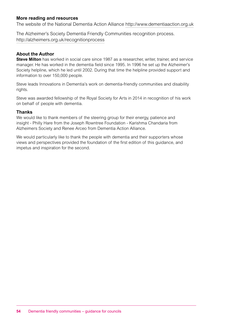## **More reading and resources**

The website of the National Dementia Action Alliance<http://www.dementiaaction.org.uk>

The Alzheimer's Society Dementia Friendly Communities recognition process. <http://alzheimers.org.uk/recognitionprocess>

#### **About the Author**

**Steve Milton** has worked in social care since 1987 as a researcher, writer, trainer, and service manager. He has worked in the dementia field since 1995. In 1996 he set up the Alzheimer's Society helpline, which he led until 2002. During that time the helpline provided support and information to over 150,000 people.

Steve leads Innovations in Dementia's work on dementia-friendly communities and disability rights.

Steve was awarded fellowship of the Royal Society for Arts in 2014 in recognition of his work on behalf of people with dementia.

#### **Thanks**

We would like to thank members of the steering group for their energy, patience and insight - Philly Hare from the Joseph Rowntree Foundation - Karishma Chandaria from Alzheimers Society and Renee Arceo from Dementia Action Alliance.

We would particularly like to thank the people with dementia and their supporters whose views and perspectives provided the foundation of the first edition of this guidance, and impetus and inspiration for the second.